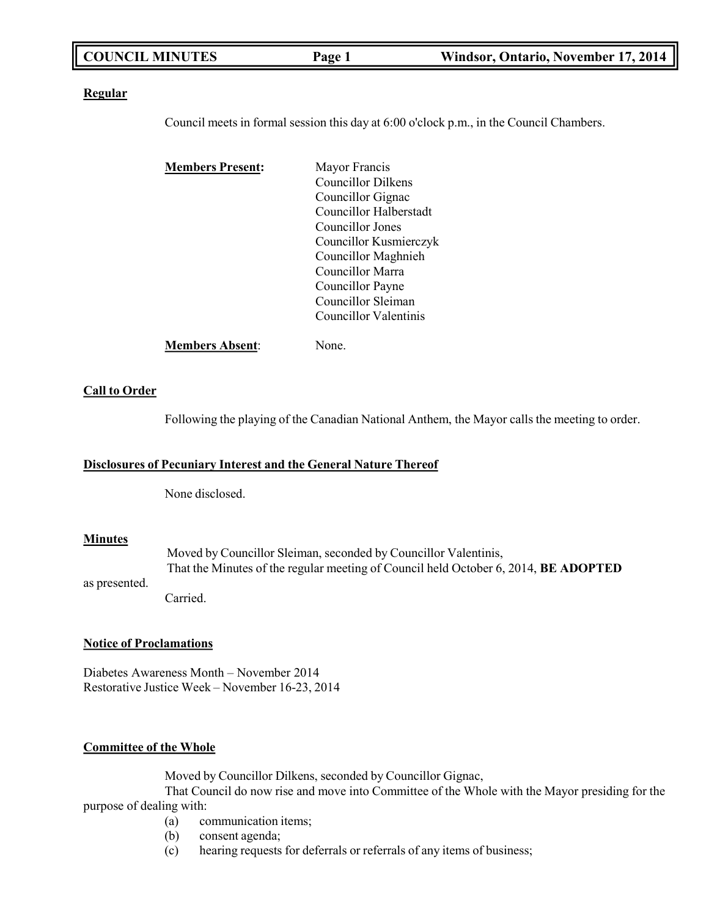| <b>COUNCIL MINUTES</b> | Page 1 | Windsor, Ontario, November 17, 2014 |
|------------------------|--------|-------------------------------------|
|                        |        |                                     |

### **Regular**

Council meets in formal session this day at 6:00 o'clock p.m., in the Council Chambers.

| <b>Members Present:</b> | Mayor Francis          |
|-------------------------|------------------------|
|                         | Councillor Dilkens     |
|                         | Councillor Gignac      |
|                         | Councillor Halberstadt |
|                         | Councillor Jones       |
|                         | Councillor Kusmierczyk |
|                         | Councillor Maghnieh    |
|                         | Councillor Marra       |
|                         | Councillor Payne       |
|                         | Councillor Sleiman     |
|                         | Councillor Valentinis  |
| <b>Members Absent:</b>  | None.                  |

### **Call to Order**

Following the playing of the Canadian National Anthem, the Mayor calls the meeting to order.

### **Disclosures of Pecuniary Interest and the General Nature Thereof**

None disclosed.

### **Minutes**

Moved by Councillor Sleiman, seconded by Councillor Valentinis, That the Minutes of the regular meeting of Council held October 6, 2014, **BE ADOPTED**

as presented. Carried.

### **Notice of Proclamations**

Diabetes Awareness Month – November 2014 Restorative Justice Week – November 16-23, 2014

### **Committee of the Whole**

Moved by Councillor Dilkens, seconded by Councillor Gignac,

That Council do now rise and move into Committee of the Whole with the Mayor presiding for the purpose of dealing with:

- (a) communication items;
- (b) consent agenda;
- (c) hearing requests for deferrals or referrals of any items of business;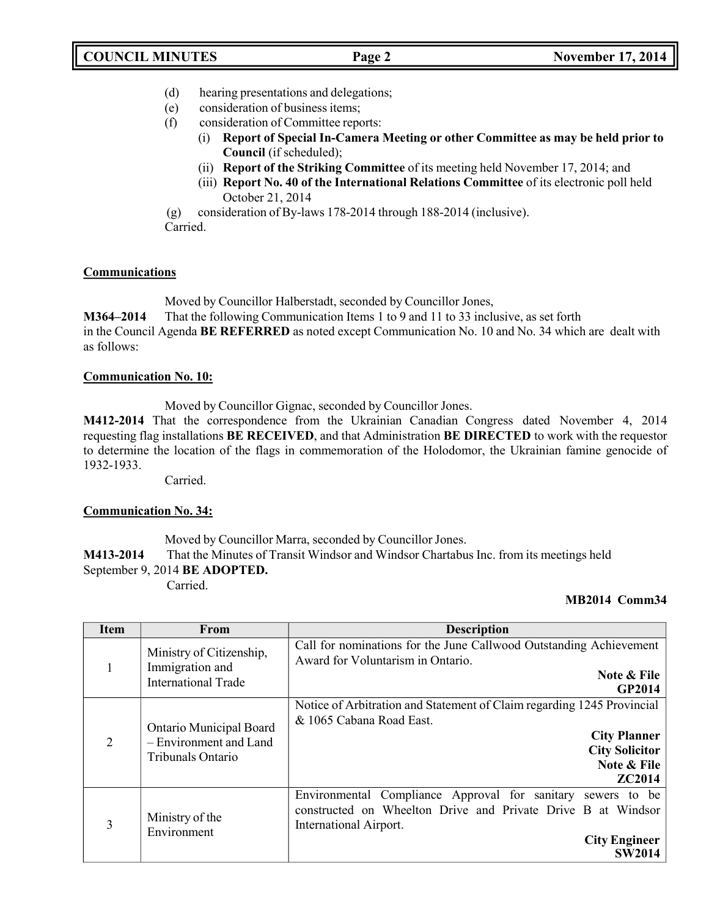- (d) hearing presentations and delegations;
- (e) consideration of business items;
- (f) consideration of Committee reports:
	- (i) **Report of Special In-Camera Meeting or other Committee as may be held prior to Council** (if scheduled);
	- (ii) **Report of the Striking Committee** of its meeting held November 17, 2014; and
	- (iii) **Report No. 40 of the International Relations Committee** of its electronic poll held October 21, 2014
- (g) consideration of By-laws 178-2014 through 188-2014 (inclusive).

Carried.

# **Communications**

Moved by Councillor Halberstadt, seconded by Councillor Jones,

**M364–2014** That the following Communication Items 1 to 9 and 11 to 33 inclusive, as set forth

in the Council Agenda **BE REFERRED** as noted except Communication No. 10 and No. 34 which are dealt with as follows:

## **Communication No. 10:**

Moved by Councillor Gignac, seconded by Councillor Jones.

**M412-2014** That the correspondence from the Ukrainian Canadian Congress dated November 4, 2014 requesting flag installations **BE RECEIVED**, and that Administration **BE DIRECTED** to work with the requestor to determine the location of the flags in commemoration of the Holodomor, the Ukrainian famine genocide of 1932-1933.

Carried.

# **Communication No. 34:**

Moved by Councillor Marra, seconded by Councillor Jones.

**M413-2014** That the Minutes of Transit Windsor and Windsor Chartabus Inc. from its meetings held September 9, 2014 **BE ADOPTED.**

# Carried.

# **MB2014 Comm34**

| <b>Item</b>    | <b>From</b>                                                                   | <b>Description</b>                                                                                                                                                                             |
|----------------|-------------------------------------------------------------------------------|------------------------------------------------------------------------------------------------------------------------------------------------------------------------------------------------|
| 1              | Ministry of Citizenship,<br>Immigration and<br><b>International Trade</b>     | Call for nominations for the June Callwood Outstanding Achievement<br>Award for Voluntarism in Ontario.<br>Note & File<br><b>GP2014</b>                                                        |
| $\overline{2}$ | <b>Ontario Municipal Board</b><br>- Environment and Land<br>Tribunals Ontario | Notice of Arbitration and Statement of Claim regarding 1245 Provincial<br>& 1065 Cabana Road East.<br><b>City Planner</b><br><b>City Solicitor</b><br>Note & File<br><b>ZC2014</b>             |
| 3              | Ministry of the<br>Environment                                                | Environmental Compliance Approval for sanitary sewers to be<br>constructed on Wheelton Drive and Private Drive B at Windsor<br>International Airport.<br><b>City Engineer</b><br><b>SW2014</b> |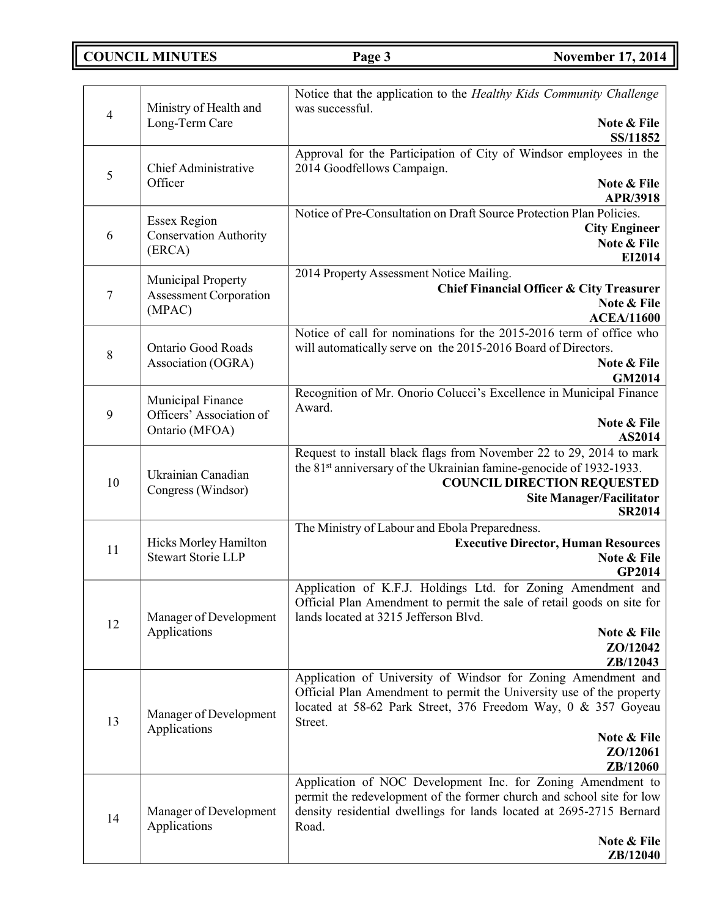**COUNCIL MINUTES Page 3 November 17, 2014**

|                |                                                      | Notice that the application to the Healthy Kids Community Challenge                                                   |
|----------------|------------------------------------------------------|-----------------------------------------------------------------------------------------------------------------------|
| $\overline{4}$ | Ministry of Health and                               | was successful.                                                                                                       |
|                | Long-Term Care                                       | Note & File<br>SS/11852                                                                                               |
|                |                                                      | Approval for the Participation of City of Windsor employees in the                                                    |
| 5              | Chief Administrative                                 | 2014 Goodfellows Campaign.                                                                                            |
|                | Officer                                              | Note & File<br><b>APR/3918</b>                                                                                        |
|                |                                                      | Notice of Pre-Consultation on Draft Source Protection Plan Policies.                                                  |
| 6              | <b>Essex Region</b><br><b>Conservation Authority</b> | <b>City Engineer</b>                                                                                                  |
|                | (ERCA)                                               | Note & File                                                                                                           |
|                |                                                      | EI2014                                                                                                                |
|                | Municipal Property                                   | 2014 Property Assessment Notice Mailing.<br><b>Chief Financial Officer &amp; City Treasurer</b>                       |
| 7              | <b>Assessment Corporation</b>                        | Note & File                                                                                                           |
|                | (MPAC)                                               | <b>ACEA/11600</b>                                                                                                     |
|                |                                                      | Notice of call for nominations for the 2015-2016 term of office who                                                   |
| 8              | <b>Ontario Good Roads</b>                            | will automatically serve on the 2015-2016 Board of Directors.                                                         |
|                | Association (OGRA)                                   | Note & File<br><b>GM2014</b>                                                                                          |
|                |                                                      | Recognition of Mr. Onorio Colucci's Excellence in Municipal Finance                                                   |
|                | Municipal Finance<br>Officers' Association of        | Award.                                                                                                                |
| 9              | Ontario (MFOA)                                       | Note & File                                                                                                           |
|                |                                                      | AS2014                                                                                                                |
|                |                                                      | Request to install black flags from November 22 to 29, 2014 to mark                                                   |
| 10             | Ukrainian Canadian                                   | the 81 <sup>st</sup> anniversary of the Ukrainian famine-genocide of 1932-1933.<br><b>COUNCIL DIRECTION REQUESTED</b> |
|                | Congress (Windsor)                                   | <b>Site Manager/Facilitator</b>                                                                                       |
|                |                                                      | <b>SR2014</b>                                                                                                         |
|                |                                                      | The Ministry of Labour and Ebola Preparedness.                                                                        |
| 11             | Hicks Morley Hamilton<br><b>Stewart Storie LLP</b>   | <b>Executive Director, Human Resources</b>                                                                            |
|                |                                                      | Note & File<br><b>GP2014</b>                                                                                          |
|                |                                                      | Application of K.F.J. Holdings Ltd. for Zoning Amendment and                                                          |
|                |                                                      | Official Plan Amendment to permit the sale of retail goods on site for                                                |
| 12             | Manager of Development                               | lands located at 3215 Jefferson Blvd.                                                                                 |
|                | Applications                                         | Note & File                                                                                                           |
|                |                                                      | ZO/12042<br>ZB/12043                                                                                                  |
|                |                                                      | Application of University of Windsor for Zoning Amendment and                                                         |
|                |                                                      | Official Plan Amendment to permit the University use of the property                                                  |
|                | Manager of Development                               | located at 58-62 Park Street, 376 Freedom Way, 0 & 357 Goyeau                                                         |
| 13             | Applications                                         | Street.                                                                                                               |
|                |                                                      | Note & File<br>ZO/12061                                                                                               |
|                |                                                      | ZB/12060                                                                                                              |
|                |                                                      | Application of NOC Development Inc. for Zoning Amendment to                                                           |
|                |                                                      | permit the redevelopment of the former church and school site for low                                                 |
| 14             | Manager of Development<br>Applications               | density residential dwellings for lands located at 2695-2715 Bernard                                                  |
|                |                                                      | Road.<br>Note & File                                                                                                  |
|                |                                                      | <b>ZB</b> /12040                                                                                                      |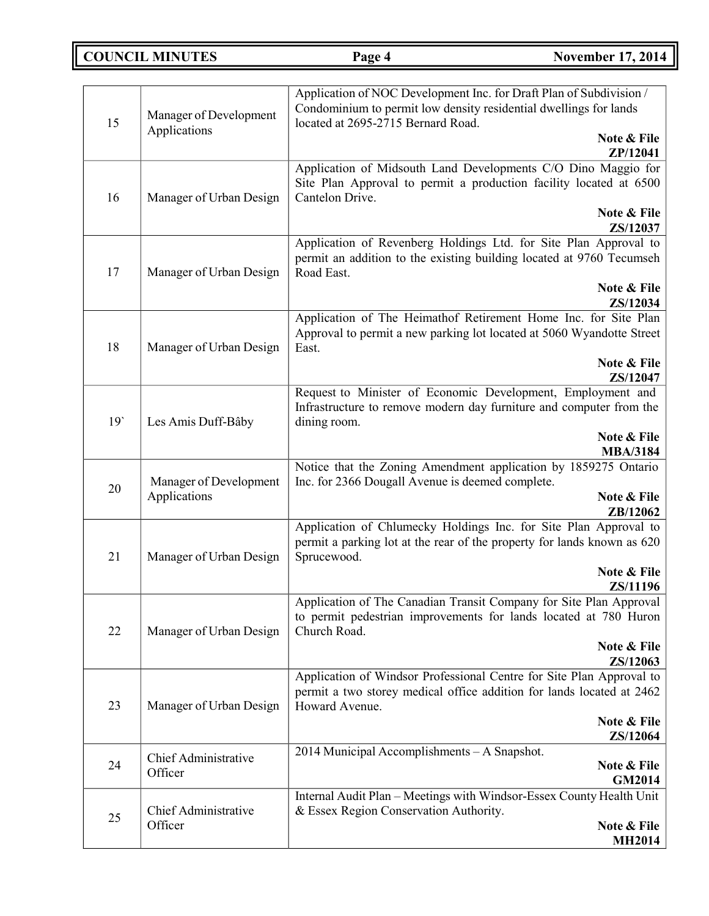**COUNCIL MINUTES Page 4 November 17, 2014** 

| 15              | Manager of Development<br>Applications | Application of NOC Development Inc. for Draft Plan of Subdivision /<br>Condominium to permit low density residential dwellings for lands<br>located at 2695-2715 Bernard Road. |
|-----------------|----------------------------------------|--------------------------------------------------------------------------------------------------------------------------------------------------------------------------------|
|                 |                                        | Note & File<br>ZP/12041                                                                                                                                                        |
| 16              | Manager of Urban Design                | Application of Midsouth Land Developments C/O Dino Maggio for<br>Site Plan Approval to permit a production facility located at 6500<br>Cantelon Drive.<br>Note & File          |
|                 |                                        | ZS/12037                                                                                                                                                                       |
| 17              | Manager of Urban Design                | Application of Revenberg Holdings Ltd. for Site Plan Approval to<br>permit an addition to the existing building located at 9760 Tecumseh<br>Road East.                         |
|                 |                                        | Note & File<br>ZS/12034                                                                                                                                                        |
| 18              | Manager of Urban Design                | Application of The Heimathof Retirement Home Inc. for Site Plan<br>Approval to permit a new parking lot located at 5060 Wyandotte Street<br>East.                              |
|                 |                                        | Note & File<br>ZS/12047                                                                                                                                                        |
| 19 <sup>°</sup> | Les Amis Duff-Bâby                     | Request to Minister of Economic Development, Employment and<br>Infrastructure to remove modern day furniture and computer from the<br>dining room.                             |
|                 |                                        | Note & File<br><b>MBA/3184</b>                                                                                                                                                 |
| 20              | Manager of Development<br>Applications | Notice that the Zoning Amendment application by 1859275 Ontario<br>Inc. for 2366 Dougall Avenue is deemed complete.<br>Note & File                                             |
|                 |                                        | ZB/12062                                                                                                                                                                       |
| 21              | Manager of Urban Design                | Application of Chlumecky Holdings Inc. for Site Plan Approval to<br>permit a parking lot at the rear of the property for lands known as 620<br>Sprucewood.                     |
|                 |                                        | Note & File<br>ZS/11196                                                                                                                                                        |
| 22              | Manager of Urban Design                | Application of The Canadian Transit Company for Site Plan Approval<br>to permit pedestrian improvements for lands located at 780 Huron<br>Church Road.                         |
|                 |                                        | Note & File<br>ZS/12063                                                                                                                                                        |
| 23              | Manager of Urban Design                | Application of Windsor Professional Centre for Site Plan Approval to<br>permit a two storey medical office addition for lands located at 2462<br>Howard Avenue.                |
|                 |                                        | Note & File<br>ZS/12064                                                                                                                                                        |
| 24              | <b>Chief Administrative</b><br>Officer | 2014 Municipal Accomplishments - A Snapshot.                                                                                                                                   |
|                 |                                        | Note & File<br><b>GM2014</b>                                                                                                                                                   |
|                 | Chief Administrative                   | Internal Audit Plan - Meetings with Windsor-Essex County Health Unit<br>& Essex Region Conservation Authority.                                                                 |
| 25              | Officer                                | Note & File<br><b>MH2014</b>                                                                                                                                                   |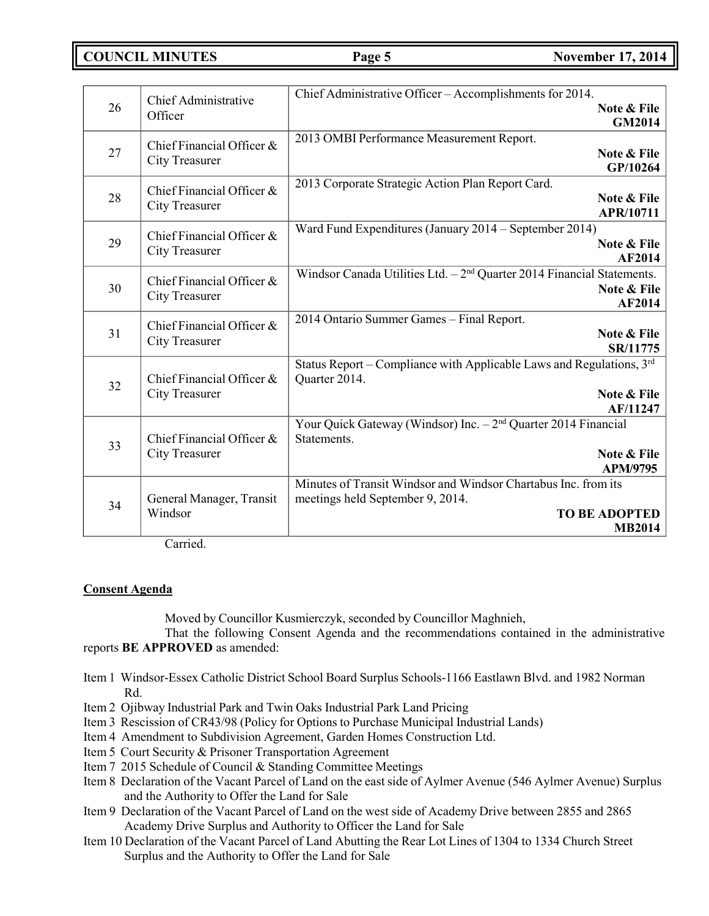**COUNCIL MINUTES Page 5 November 17, 2014**

| 26 | Chief Administrative<br>Officer                    | Chief Administrative Officer - Accomplishments for 2014.<br><b>Note &amp; File</b><br><b>GM2014</b>                                           |
|----|----------------------------------------------------|-----------------------------------------------------------------------------------------------------------------------------------------------|
| 27 | Chief Financial Officer &<br>City Treasurer        | 2013 OMBI Performance Measurement Report.<br>Note & File<br>GP/10264                                                                          |
| 28 | Chief Financial Officer &<br><b>City Treasurer</b> | 2013 Corporate Strategic Action Plan Report Card.<br>Note & File<br>APR/10711                                                                 |
| 29 | Chief Financial Officer &<br><b>City Treasurer</b> | Ward Fund Expenditures (January 2014 - September 2014)<br>Note & File<br><b>AF2014</b>                                                        |
| 30 | Chief Financial Officer &<br><b>City Treasurer</b> | Windsor Canada Utilities Ltd. $-2nd$ Quarter 2014 Financial Statements.<br>Note & File<br><b>AF2014</b>                                       |
| 31 | Chief Financial Officer &<br><b>City Treasurer</b> | 2014 Ontario Summer Games - Final Report.<br>Note & File<br>SR/11775                                                                          |
| 32 | Chief Financial Officer &<br><b>City Treasurer</b> | Status Report - Compliance with Applicable Laws and Regulations, 3rd<br>Quarter 2014.<br>Note & File<br>AF/11247                              |
| 33 | Chief Financial Officer &<br><b>City Treasurer</b> | Your Quick Gateway (Windsor) $\overline{\text{Inc.} - 2^{\text{nd}}}$ Quarter 2014 Financial<br>Statements.<br>Note & File<br><b>APM/9795</b> |
| 34 | General Manager, Transit<br>Windsor                | Minutes of Transit Windsor and Windsor Chartabus Inc. from its<br>meetings held September 9, 2014.<br><b>TO BE ADOPTED</b><br><b>MB2014</b>   |

Carried.

## **Consent Agenda**

Moved by Councillor Kusmierczyk, seconded by Councillor Maghnieh,

That the following Consent Agenda and the recommendations contained in the administrative reports **BE APPROVED** as amended:

- Item 1 Windsor-Essex Catholic District School Board Surplus Schools-1166 Eastlawn Blvd. and 1982 Norman Rd.
- Item 2 Ojibway Industrial Park and Twin Oaks Industrial Park Land Pricing
- Item 3 Rescission of CR43/98 (Policy for Options to Purchase Municipal Industrial Lands)
- Item 4 Amendment to Subdivision Agreement, Garden Homes Construction Ltd.
- Item 5 Court Security & Prisoner Transportation Agreement
- Item 7 2015 Schedule of Council & Standing Committee Meetings
- Item 8 Declaration of the Vacant Parcel of Land on the east side of Aylmer Avenue (546 Aylmer Avenue) Surplus and the Authority to Offer the Land for Sale
- Item 9 Declaration of the Vacant Parcel of Land on the west side of Academy Drive between 2855 and 2865 Academy Drive Surplus and Authority to Officer the Land for Sale
- Item 10 Declaration of the Vacant Parcel of Land Abutting the Rear Lot Lines of 1304 to 1334 Church Street Surplus and the Authority to Offer the Land for Sale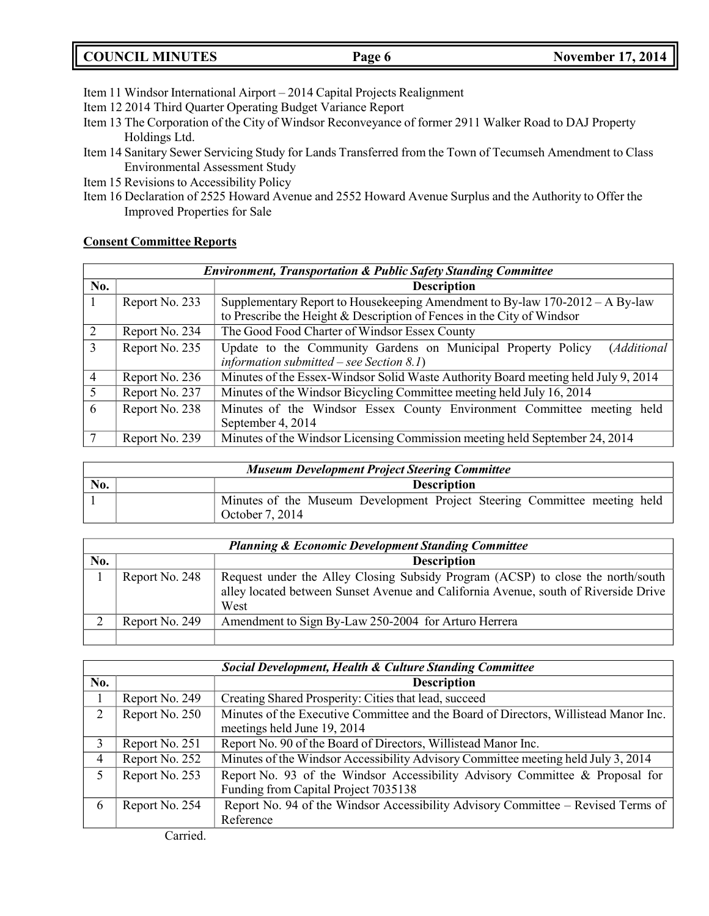| <b>COUNCIL MINUTES</b> | Page 6 |  |
|------------------------|--------|--|
|                        |        |  |

- Item 11 Windsor International Airport 2014 Capital Projects Realignment
- Item 12 2014 Third Quarter Operating Budget Variance Report
- Item 13 The Corporation of the City of Windsor Reconveyance of former 2911 Walker Road to DAJ Property Holdings Ltd.
- Item 14 Sanitary Sewer Servicing Study for Lands Transferred from the Town of Tecumseh Amendment to Class Environmental Assessment Study
- Item 15 Revisions to Accessibility Policy
- Item 16 Declaration of 2525 Howard Avenue and 2552 Howard Avenue Surplus and the Authority to Offer the Improved Properties for Sale

## **Consent Committee Reports**

|                | <b>Environment, Transportation &amp; Public Safety Standing Committee</b> |                                                                                    |  |  |
|----------------|---------------------------------------------------------------------------|------------------------------------------------------------------------------------|--|--|
| No.            |                                                                           | <b>Description</b>                                                                 |  |  |
|                | Report No. 233                                                            | Supplementary Report to Housekeeping Amendment to By-law $170-2012-A$ By-law       |  |  |
|                |                                                                           | to Prescribe the Height & Description of Fences in the City of Windsor             |  |  |
| 2              | Report No. 234                                                            | The Good Food Charter of Windsor Essex County                                      |  |  |
| $\overline{3}$ | Report No. 235                                                            | Update to the Community Gardens on Municipal Property Policy<br>(Additional        |  |  |
|                |                                                                           | information submitted – see Section 8.1)                                           |  |  |
| $\overline{4}$ | Report No. 236                                                            | Minutes of the Essex-Windsor Solid Waste Authority Board meeting held July 9, 2014 |  |  |
| 5              | Report No. 237                                                            | Minutes of the Windsor Bicycling Committee meeting held July 16, 2014              |  |  |
| 6              | Report No. 238                                                            | Minutes of the Windsor Essex County Environment Committee meeting held             |  |  |
|                |                                                                           | September 4, 2014                                                                  |  |  |
|                | Report No. 239                                                            | Minutes of the Windsor Licensing Commission meeting held September 24, 2014        |  |  |

| <b>Museum Development Project Steering Committee</b> |  |                                                                                              |  |
|------------------------------------------------------|--|----------------------------------------------------------------------------------------------|--|
| No.                                                  |  | <b>Description</b>                                                                           |  |
|                                                      |  | Minutes of the Museum Development Project Steering Committee meeting held<br>October 7, 2014 |  |

|     | <b>Planning &amp; Economic Development Standing Committee</b> |                                                                                                                                                                                |  |  |
|-----|---------------------------------------------------------------|--------------------------------------------------------------------------------------------------------------------------------------------------------------------------------|--|--|
| No. |                                                               | <b>Description</b>                                                                                                                                                             |  |  |
|     | Report No. 248                                                | Request under the Alley Closing Subsidy Program (ACSP) to close the north/south<br>alley located between Sunset Avenue and California Avenue, south of Riverside Drive<br>West |  |  |
|     | Report No. 249                                                | Amendment to Sign By-Law 250-2004 for Arturo Herrera                                                                                                                           |  |  |
|     |                                                               |                                                                                                                                                                                |  |  |

|                | <b>Social Development, Health &amp; Culture Standing Committee</b> |                                                                                                                      |  |  |
|----------------|--------------------------------------------------------------------|----------------------------------------------------------------------------------------------------------------------|--|--|
| No.            |                                                                    | <b>Description</b>                                                                                                   |  |  |
|                | Report No. 249                                                     | Creating Shared Prosperity: Cities that lead, succeed                                                                |  |  |
| 2              | Report No. 250                                                     | Minutes of the Executive Committee and the Board of Directors, Willistead Manor Inc.<br>meetings held June 19, 2014  |  |  |
| 3              | Report No. 251                                                     | Report No. 90 of the Board of Directors, Willistead Manor Inc.                                                       |  |  |
| $\overline{4}$ | Report No. 252                                                     | Minutes of the Windsor Accessibility Advisory Committee meeting held July 3, 2014                                    |  |  |
| 5              | Report No. 253                                                     | Report No. 93 of the Windsor Accessibility Advisory Committee & Proposal for<br>Funding from Capital Project 7035138 |  |  |
| 6              | Report No. 254                                                     | Report No. 94 of the Windsor Accessibility Advisory Committee – Revised Terms of<br>Reference                        |  |  |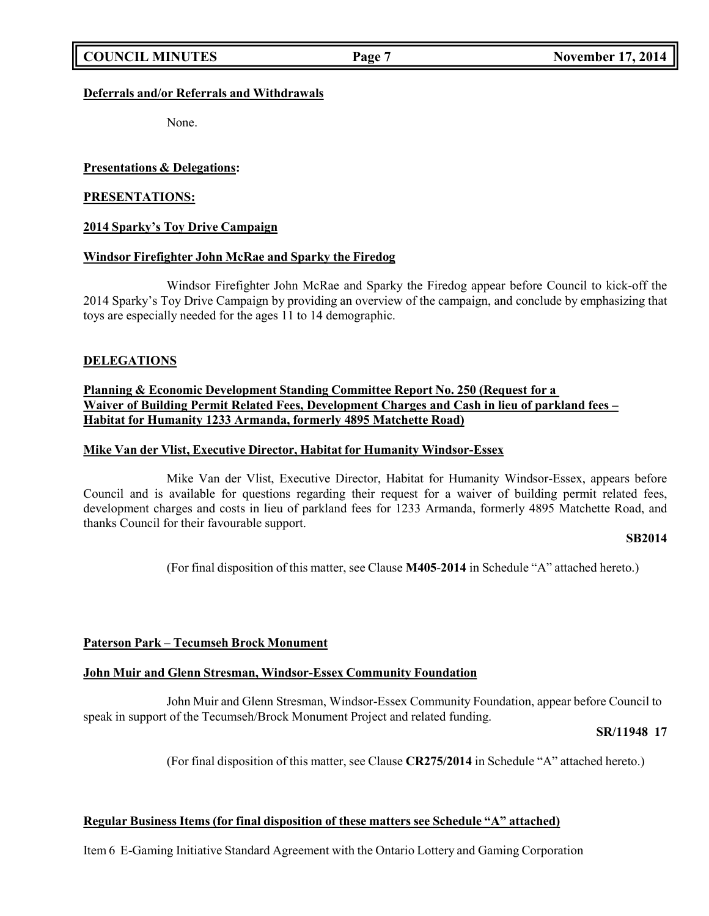### **Deferrals and/or Referrals and Withdrawals**

None.

### **Presentations & Delegations:**

### **PRESENTATIONS:**

### **2014 Sparky's Toy Drive Campaign**

### **Windsor Firefighter John McRae and Sparky the Firedog**

Windsor Firefighter John McRae and Sparky the Firedog appear before Council to kick-off the 2014 Sparky's Toy Drive Campaign by providing an overview of the campaign, and conclude by emphasizing that toys are especially needed for the ages 11 to 14 demographic.

### **DELEGATIONS**

## **Planning & Economic Development Standing Committee Report No. 250 (Request for a Waiver of Building Permit Related Fees, Development Charges and Cash in lieu of parkland fees – Habitat for Humanity 1233 Armanda, formerly 4895 Matchette Road)**

### **Mike Van der Vlist, Executive Director, Habitat for Humanity Windsor-Essex**

Mike Van der Vlist, Executive Director, Habitat for Humanity Windsor-Essex, appears before Council and is available for questions regarding their request for a waiver of building permit related fees, development charges and costs in lieu of parkland fees for 1233 Armanda, formerly 4895 Matchette Road, and thanks Council for their favourable support.

### **SB2014**

(For final disposition of this matter, see Clause **M405**-**2014** in Schedule "A" attached hereto.)

## **Paterson Park – Tecumseh Brock Monument**

### **John Muir and Glenn Stresman, Windsor-Essex Community Foundation**

John Muir and Glenn Stresman, Windsor-Essex Community Foundation, appear before Council to speak in support of the Tecumseh/Brock Monument Project and related funding.

### **SR/11948 17**

(For final disposition of this matter, see Clause **CR275/2014** in Schedule "A" attached hereto.)

### **Regular Business Items (for final disposition of these matters see Schedule "A" attached)**

Item 6 E-Gaming Initiative Standard Agreement with the Ontario Lottery and Gaming Corporation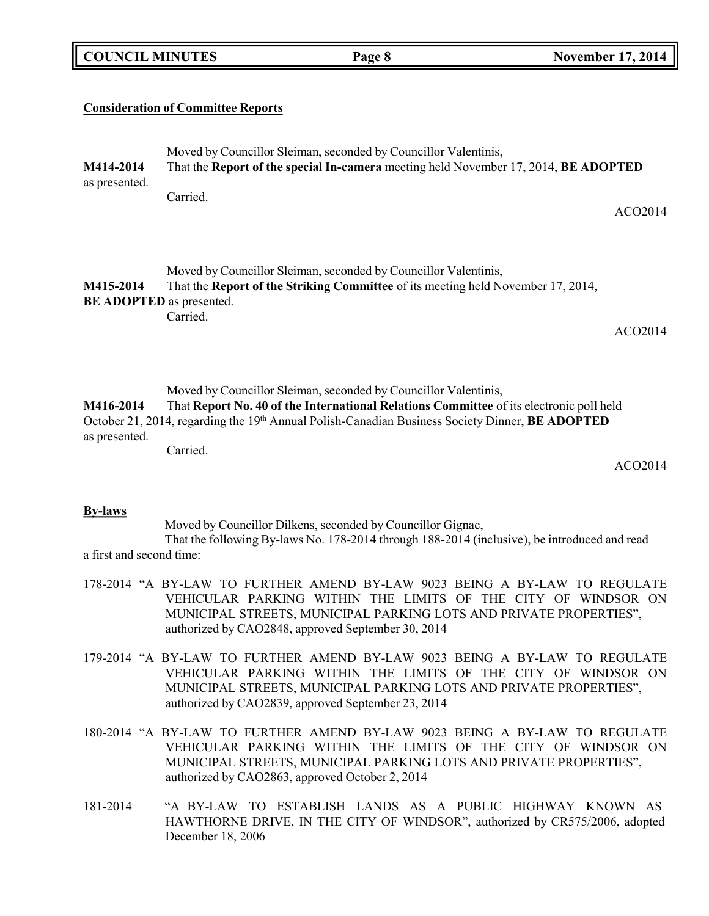| <b>COUNCIL MINUTES</b> |  |
|------------------------|--|
|------------------------|--|

# **Consideration of Committee Reports**

| M414-2014<br>as presented.                   | Moved by Councillor Sleiman, seconded by Councillor Valentinis,<br>That the Report of the special In-camera meeting held November 17, 2014, BE ADOPTED                                                                                                        |  |
|----------------------------------------------|---------------------------------------------------------------------------------------------------------------------------------------------------------------------------------------------------------------------------------------------------------------|--|
|                                              | Carried.<br>ACO2014                                                                                                                                                                                                                                           |  |
| M415-2014<br><b>BE ADOPTED</b> as presented. | Moved by Councillor Sleiman, seconded by Councillor Valentinis,<br>That the Report of the Striking Committee of its meeting held November 17, 2014,<br>Carried.                                                                                               |  |
|                                              | ACO2014                                                                                                                                                                                                                                                       |  |
| M416-2014<br>as presented.                   | Moved by Councillor Sleiman, seconded by Councillor Valentinis,<br>That Report No. 40 of the International Relations Committee of its electronic poll held<br>October 21, 2014, regarding the 19th Annual Polish-Canadian Business Society Dinner, BE ADOPTED |  |
|                                              | Carried.<br>ACO2014                                                                                                                                                                                                                                           |  |
| <b>Ry-laws</b>                               |                                                                                                                                                                                                                                                               |  |

### **By-laws**

Moved by Councillor Dilkens, seconded by Councillor Gignac, That the following By-laws No. 178-2014 through 188-2014 (inclusive), be introduced and read a first and second time:

- 178-2014 "A BY-LAW TO FURTHER AMEND BY-LAW 9023 BEING A BY-LAW TO REGULATE VEHICULAR PARKING WITHIN THE LIMITS OF THE CITY OF WINDSOR ON MUNICIPAL STREETS, MUNICIPAL PARKING LOTS AND PRIVATE PROPERTIES", authorized by CAO2848, approved September 30, 2014
- 179-2014 "A BY-LAW TO FURTHER AMEND BY-LAW 9023 BEING A BY-LAW TO REGULATE VEHICULAR PARKING WITHIN THE LIMITS OF THE CITY OF WINDSOR ON MUNICIPAL STREETS, MUNICIPAL PARKING LOTS AND PRIVATE PROPERTIES", authorized by CAO2839, approved September 23, 2014
- 180-2014 "A BY-LAW TO FURTHER AMEND BY-LAW 9023 BEING A BY-LAW TO REGULATE VEHICULAR PARKING WITHIN THE LIMITS OF THE CITY OF WINDSOR ON MUNICIPAL STREETS, MUNICIPAL PARKING LOTS AND PRIVATE PROPERTIES", authorized by CAO2863, approved October 2, 2014
- 181-2014 "A BY-LAW TO ESTABLISH LANDS AS A PUBLIC HIGHWAY KNOWN AS HAWTHORNE DRIVE, IN THE CITY OF WINDSOR", authorized by CR575/2006, adopted December 18, 2006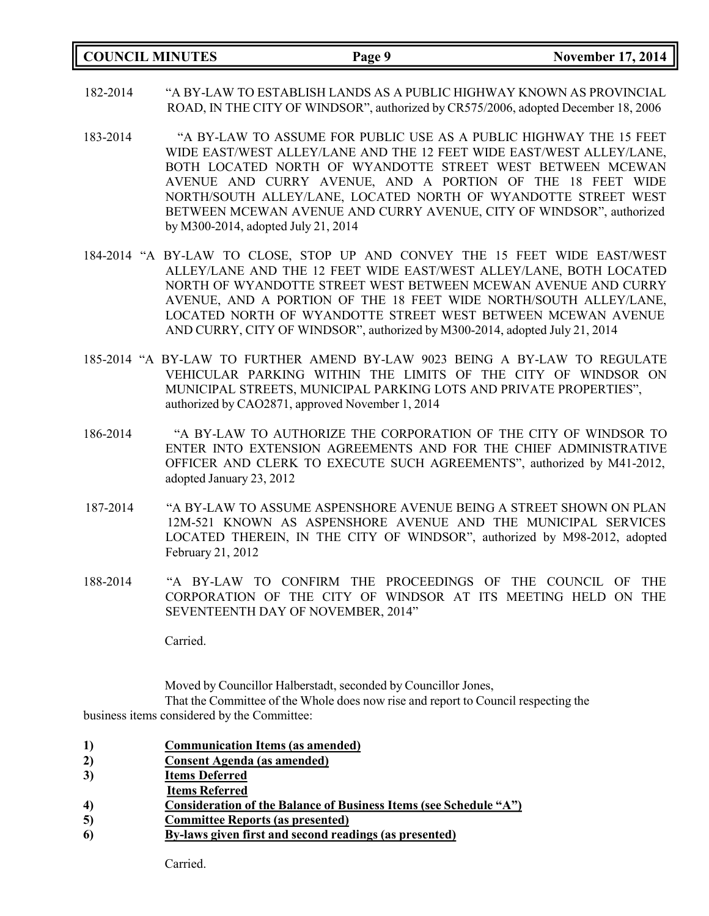|  | <b>COUNCIL MINUTES</b> |
|--|------------------------|
|--|------------------------|

- 182-2014 "A BY-LAW TO ESTABLISH LANDS AS A PUBLIC HIGHWAY KNOWN AS PROVINCIAL ROAD, IN THE CITY OF WINDSOR", authorized by CR575/2006, adopted December 18, 2006
- 183-2014 "A BY-LAW TO ASSUME FOR PUBLIC USE AS A PUBLIC HIGHWAY THE 15 FEET WIDE EAST/WEST ALLEY/LANE AND THE 12 FEET WIDE EAST/WEST ALLEY/LANE, BOTH LOCATED NORTH OF WYANDOTTE STREET WEST BETWEEN MCEWAN AVENUE AND CURRY AVENUE, AND A PORTION OF THE 18 FEET WIDE NORTH/SOUTH ALLEY/LANE, LOCATED NORTH OF WYANDOTTE STREET WEST BETWEEN MCEWAN AVENUE AND CURRY AVENUE, CITY OF WINDSOR", authorized by M300-2014, adopted July 21, 2014
- 184-2014 "A BY-LAW TO CLOSE, STOP UP AND CONVEY THE 15 FEET WIDE EAST/WEST ALLEY/LANE AND THE 12 FEET WIDE EAST/WEST ALLEY/LANE, BOTH LOCATED NORTH OF WYANDOTTE STREET WEST BETWEEN MCEWAN AVENUE AND CURRY AVENUE, AND A PORTION OF THE 18 FEET WIDE NORTH/SOUTH ALLEY/LANE, LOCATED NORTH OF WYANDOTTE STREET WEST BETWEEN MCEWAN AVENUE AND CURRY, CITY OF WINDSOR", authorized by M300-2014, adopted July 21, 2014
- 185-2014 "A BY-LAW TO FURTHER AMEND BY-LAW 9023 BEING A BY-LAW TO REGULATE VEHICULAR PARKING WITHIN THE LIMITS OF THE CITY OF WINDSOR ON MUNICIPAL STREETS, MUNICIPAL PARKING LOTS AND PRIVATE PROPERTIES", authorized by CAO2871, approved November 1, 2014
- 186-2014 "A BY-LAW TO AUTHORIZE THE CORPORATION OF THE CITY OF WINDSOR TO ENTER INTO EXTENSION AGREEMENTS AND FOR THE CHIEF ADMINISTRATIVE OFFICER AND CLERK TO EXECUTE SUCH AGREEMENTS", authorized by M41-2012, adopted January 23, 2012
- 187-2014 "A BY-LAW TO ASSUME ASPENSHORE AVENUE BEING A STREET SHOWN ON PLAN 12M-521 KNOWN AS ASPENSHORE AVENUE AND THE MUNICIPAL SERVICES LOCATED THEREIN, IN THE CITY OF WINDSOR", authorized by M98-2012, adopted February 21, 2012
- 188-2014 "A BY-LAW TO CONFIRM THE PROCEEDINGS OF THE COUNCIL OF THE CORPORATION OF THE CITY OF WINDSOR AT ITS MEETING HELD ON THE SEVENTEENTH DAY OF NOVEMBER, 2014"

Carried.

Moved by Councillor Halberstadt, seconded by Councillor Jones,

That the Committee of the Whole does now rise and report to Council respecting the business items considered by the Committee:

- **1) Communication Items (as amended)**
- **2) Consent Agenda (as amended)**
- **3) Items Deferred**
- **Items Referred**
- **4) Consideration of the Balance of Business Items (see Schedule "A")**
- **5) Committee Reports (as presented)**
- **6) By-laws given first and second readings (as presented)**

Carried.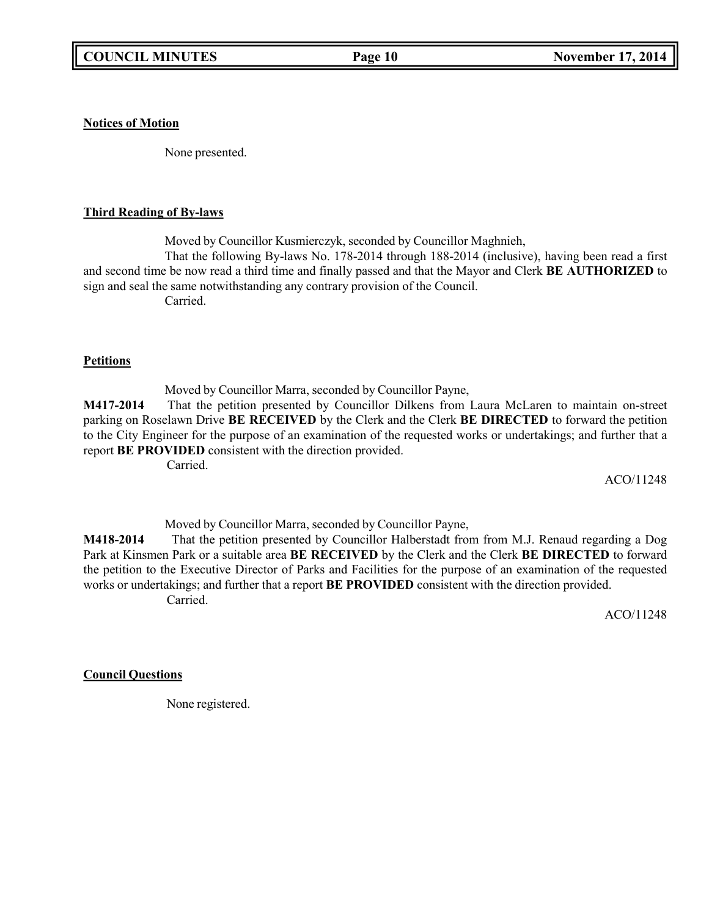**Notices of Motion**

None presented.

### **Third Reading of By-laws**

Moved by Councillor Kusmierczyk, seconded by Councillor Maghnieh, That the following By-laws No. 178-2014 through 188-2014 (inclusive), having been read a first and second time be now read a third time and finally passed and that the Mayor and Clerk **BE AUTHORIZED** to sign and seal the same notwithstanding any contrary provision of the Council. Carried.

### **Petitions**

Moved by Councillor Marra, seconded by Councillor Payne,

**M417-2014** That the petition presented by Councillor Dilkens from Laura McLaren to maintain on-street parking on Roselawn Drive **BE RECEIVED** by the Clerk and the Clerk **BE DIRECTED** to forward the petition to the City Engineer for the purpose of an examination of the requested works or undertakings; and further that a report **BE PROVIDED** consistent with the direction provided.

Carried.

ACO/11248

Moved by Councillor Marra, seconded by Councillor Payne,

**M418-2014** That the petition presented by Councillor Halberstadt from from M.J. Renaud regarding a Dog Park at Kinsmen Park or a suitable area **BE RECEIVED** by the Clerk and the Clerk **BE DIRECTED** to forward the petition to the Executive Director of Parks and Facilities for the purpose of an examination of the requested works or undertakings; and further that a report **BE PROVIDED** consistent with the direction provided. Carried.

ACO/11248

# **Council Questions**

None registered.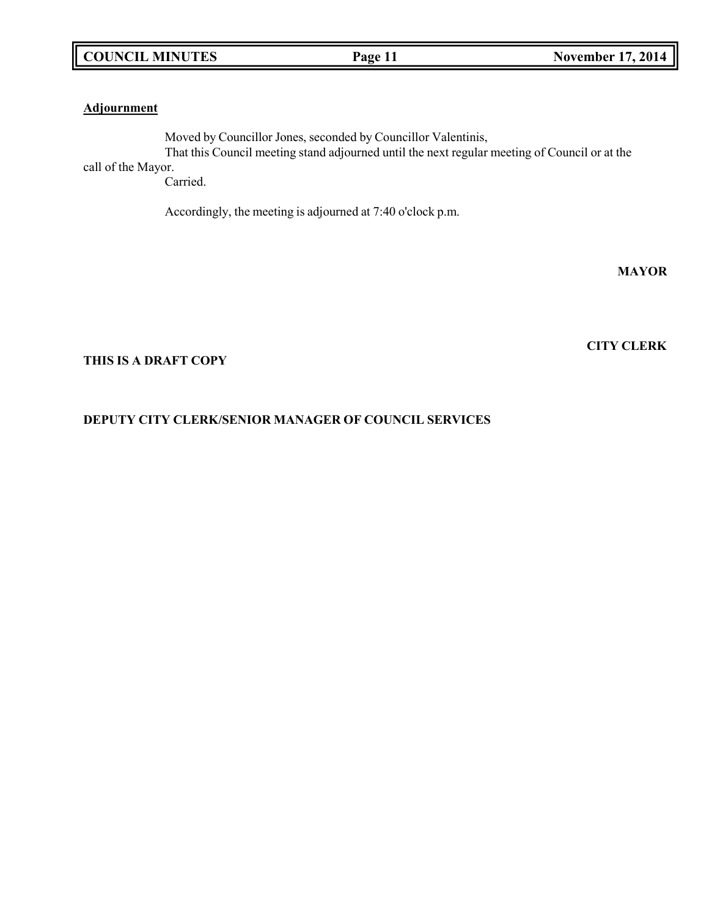## **Adjournment**

Moved by Councillor Jones, seconded by Councillor Valentinis, That this Council meeting stand adjourned until the next regular meeting of Council or at the

call of the Mayor.

Carried.

Accordingly, the meeting is adjourned at 7:40 o'clock p.m.

**MAYOR**

**CITY CLERK**

## **THIS IS A DRAFT COPY**

# **DEPUTY CITY CLERK/SENIOR MANAGER OF COUNCIL SERVICES**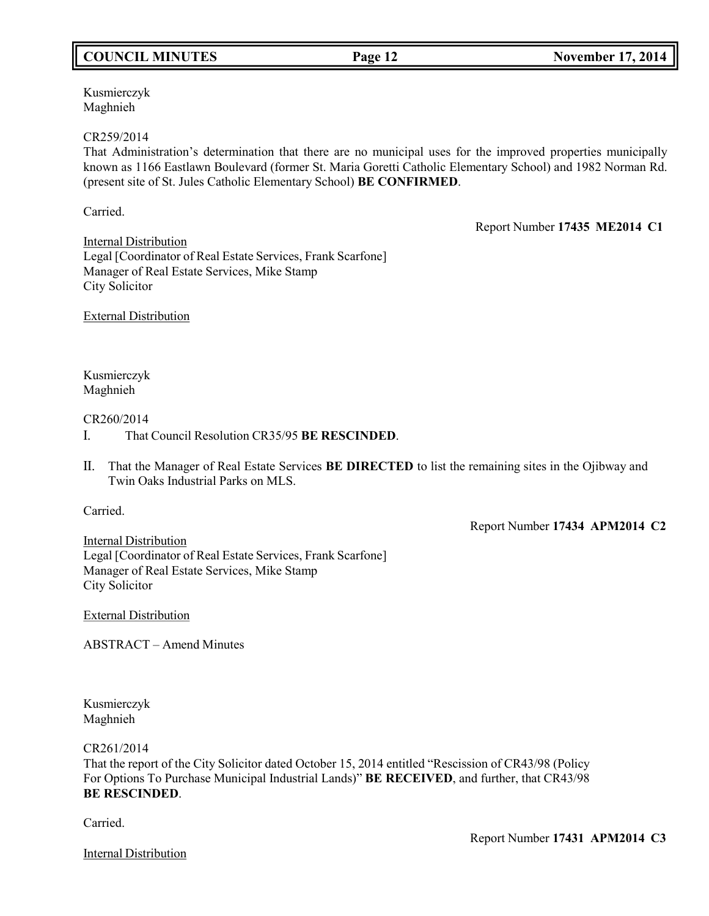# **COUNCIL MINUTES Page 12 November 17, 2014**

Kusmierczyk Maghnieh

### CR259/2014

That Administration's determination that there are no municipal uses for the improved properties municipally known as 1166 Eastlawn Boulevard (former St. Maria Goretti Catholic Elementary School) and 1982 Norman Rd. (present site of St. Jules Catholic Elementary School) **BE CONFIRMED**.

Carried.

Report Number **17435 ME2014 C1**

Internal Distribution Legal [Coordinator of Real Estate Services, Frank Scarfone] Manager of Real Estate Services, Mike Stamp City Solicitor

External Distribution

Kusmierczyk Maghnieh

## CR260/2014

- I. That Council Resolution CR35/95 **BE RESCINDED**.
- II. That the Manager of Real Estate Services **BE DIRECTED** to list the remaining sites in the Ojibway and Twin Oaks Industrial Parks on MLS.

Carried.

Report Number **17434 APM2014 C2**

Internal Distribution Legal [Coordinator of Real Estate Services, Frank Scarfone] Manager of Real Estate Services, Mike Stamp City Solicitor

External Distribution

ABSTRACT – Amend Minutes

Kusmierczyk Maghnieh

CR261/2014

That the report of the City Solicitor dated October 15, 2014 entitled "Rescission of CR43/98 (Policy For Options To Purchase Municipal Industrial Lands)" **BE RECEIVED**, and further, that CR43/98 **BE RESCINDED**.

Carried.

Internal Distribution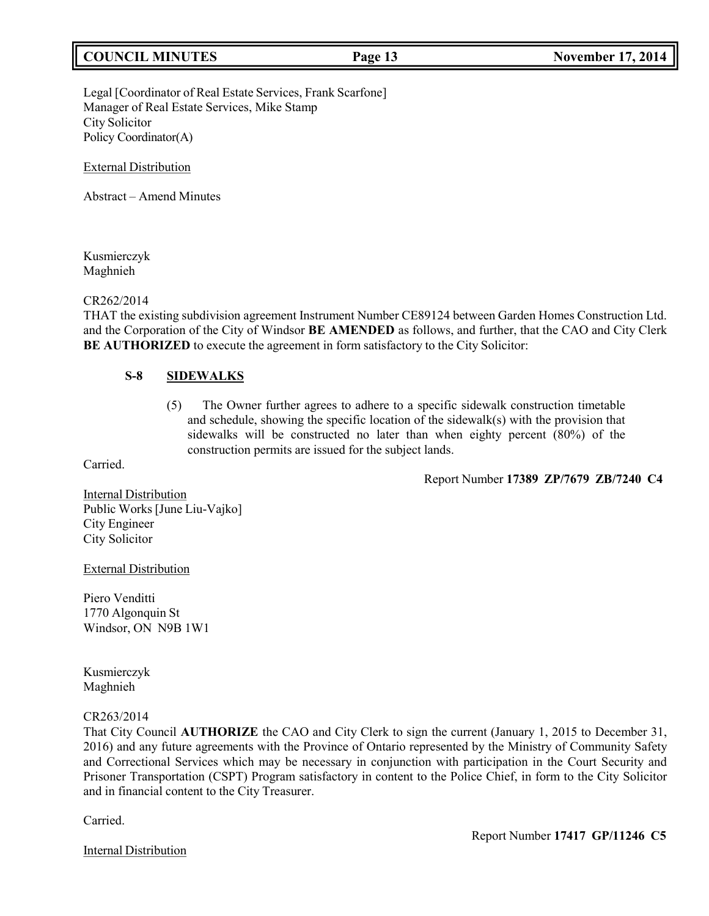# **COUNCIL MINUTES Page 13 November 17, 2014**

Legal [Coordinator of Real Estate Services, Frank Scarfone] Manager of Real Estate Services, Mike Stamp City Solicitor Policy Coordinator(A)

External Distribution

Abstract – Amend Minutes

Kusmierczyk Maghnieh

### CR262/2014

THAT the existing subdivision agreement Instrument Number CE89124 between Garden Homes Construction Ltd. and the Corporation of the City of Windsor **BE AMENDED** as follows, and further, that the CAO and City Clerk **BE AUTHORIZED** to execute the agreement in form satisfactory to the City Solicitor:

## **S-8 SIDEWALKS**

(5) The Owner further agrees to adhere to a specific sidewalk construction timetable and schedule, showing the specific location of the sidewalk(s) with the provision that sidewalks will be constructed no later than when eighty percent (80%) of the construction permits are issued for the subject lands.

Carried.

Report Number **17389 ZP/7679 ZB/7240 C4**

Internal Distribution Public Works [June Liu-Vajko] City Engineer City Solicitor

External Distribution

Piero Venditti 1770 Algonquin St Windsor, ON N9B 1W1

Kusmierczyk Maghnieh

### CR263/2014

That City Council **AUTHORIZE** the CAO and City Clerk to sign the current (January 1, 2015 to December 31, 2016) and any future agreements with the Province of Ontario represented by the Ministry of Community Safety and Correctional Services which may be necessary in conjunction with participation in the Court Security and Prisoner Transportation (CSPT) Program satisfactory in content to the Police Chief, in form to the City Solicitor and in financial content to the City Treasurer.

Carried.

Internal Distribution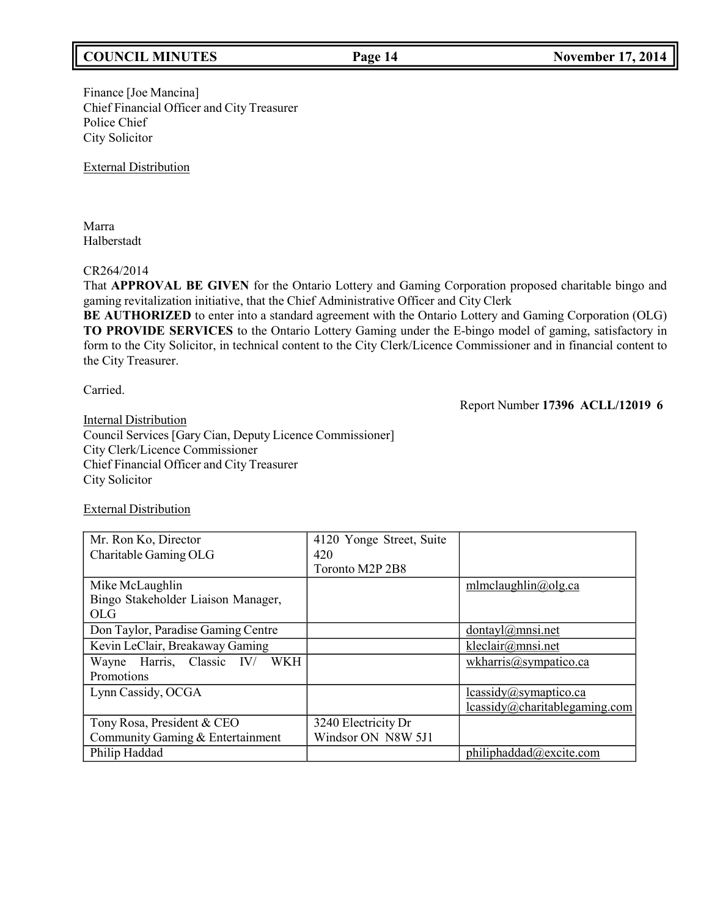# **COUNCIL MINUTES Page 14 November 17, 2014**

## Finance [Joe Mancina] Chief Financial Officer and City Treasurer Police Chief City Solicitor

External Distribution

Marra Halberstadt

# CR264/2014

That **APPROVAL BE GIVEN** for the Ontario Lottery and Gaming Corporation proposed charitable bingo and gaming revitalization initiative, that the Chief Administrative Officer and City Clerk

**BE AUTHORIZED** to enter into a standard agreement with the Ontario Lottery and Gaming Corporation (OLG) **TO PROVIDE SERVICES** to the Ontario Lottery Gaming under the E-bingo model of gaming, satisfactory in form to the City Solicitor, in technical content to the City Clerk/Licence Commissioner and in financial content to the City Treasurer.

Carried.

Report Number **17396 ACLL/12019 6**

**Internal Distribution** Council Services [Gary Cian, Deputy Licence Commissioner] City Clerk/Licence Commissioner Chief Financial Officer and City Treasurer City Solicitor

## External Distribution

| Mr. Ron Ko, Director               | 4120 Yonge Street, Suite |                                         |
|------------------------------------|--------------------------|-----------------------------------------|
| Charitable Gaming OLG              | 420                      |                                         |
|                                    | Toronto M2P 2B8          |                                         |
| Mike McLaughlin                    |                          | mlmclaughlin@olg.ca                     |
| Bingo Stakeholder Liaison Manager, |                          |                                         |
| <b>OLG</b>                         |                          |                                         |
| Don Taylor, Paradise Gaming Centre |                          | dontavl@mnsi.net                        |
| Kevin LeClair, Breakaway Gaming    |                          | kleclair@mnsi.net                       |
| Wayne Harris, Classic IV/ WKH      |                          | wkharris@sympatico.ca                   |
| Promotions                         |                          |                                         |
| Lynn Cassidy, OCGA                 |                          | lcassidy@symaptico.ca                   |
|                                    |                          | $lcassidy@charitable \text{gaming.com}$ |
| Tony Rosa, President & CEO         | 3240 Electricity Dr      |                                         |
| Community Gaming & Entertainment   | Windsor ON N8W 5J1       |                                         |
| Philip Haddad                      |                          | philiphaddad@excite.com                 |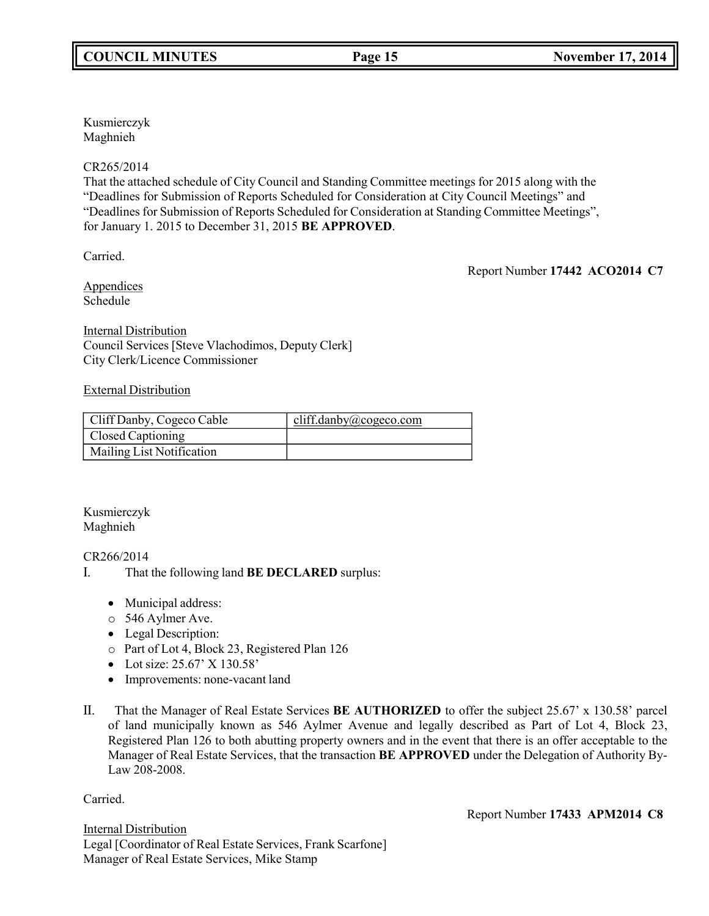Kusmierczyk Maghnieh

## CR265/2014

That the attached schedule of City Council and Standing Committee meetings for 2015 along with the "Deadlines for Submission of Reports Scheduled for Consideration at City Council Meetings" and "Deadlines for Submission of Reports Scheduled for Consideration at Standing Committee Meetings", for January 1. 2015 to December 31, 2015 **BE APPROVED**.

Carried.

Report Number **17442 ACO2014 C7**

Appendices Schedule

Internal Distribution Council Services [Steve Vlachodimos, Deputy Clerk] City Clerk/Licence Commissioner

## External Distribution

| Cliff Danby, Cogeco Cable | cliff.danby@cogeco.com |
|---------------------------|------------------------|
| <b>Closed Captioning</b>  |                        |
| Mailing List Notification |                        |

Kusmierczyk Maghnieh

# CR266/2014

- I. That the following land **BE DECLARED** surplus:
	- Municipal address:
	- o 546 Aylmer Ave.
	- Legal Description:
	- o Part of Lot 4, Block 23, Registered Plan 126
	- Lot size: 25.67' X 130.58'
	- Improvements: none-vacant land
- II. That the Manager of Real Estate Services **BE AUTHORIZED** to offer the subject 25.67' x 130.58' parcel of land municipally known as 546 Aylmer Avenue and legally described as Part of Lot 4, Block 23, Registered Plan 126 to both abutting property owners and in the event that there is an offer acceptable to the Manager of Real Estate Services, that the transaction **BE APPROVED** under the Delegation of Authority By-Law 208-2008.

Carried.

Report Number **17433 APM2014 C8**

Internal Distribution Legal [Coordinator of Real Estate Services, Frank Scarfone] Manager of Real Estate Services, Mike Stamp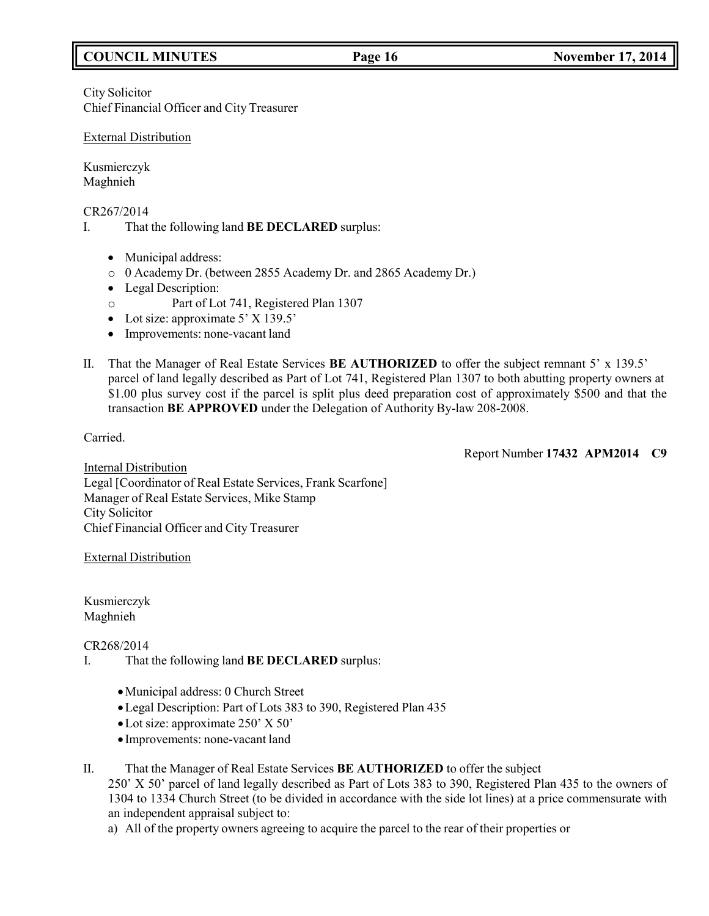# **COUNCIL MINUTES Page 16 November 17, 2014**

City Solicitor Chief Financial Officer and City Treasurer

### External Distribution

Kusmierczyk Maghnieh

CR267/2014

- I. That the following land **BE DECLARED** surplus:
	- Municipal address:
	- o 0 Academy Dr. (between 2855 Academy Dr. and 2865 Academy Dr.)
	- Legal Description:
	- o Part of Lot 741, Registered Plan 1307
	- Lot size: approximate 5' X 139.5'
	- Improvements: none-vacant land
- II. That the Manager of Real Estate Services **BE AUTHORIZED** to offer the subject remnant 5' x 139.5' parcel of land legally described as Part of Lot 741, Registered Plan 1307 to both abutting property owners at \$1.00 plus survey cost if the parcel is split plus deed preparation cost of approximately \$500 and that the transaction **BE APPROVED** under the Delegation of Authority By-law 208-2008.

Carried.

Report Number **17432 APM2014 C9**

Internal Distribution Legal [Coordinator of Real Estate Services, Frank Scarfone] Manager of Real Estate Services, Mike Stamp City Solicitor Chief Financial Officer and City Treasurer

External Distribution

Kusmierczyk Maghnieh

CR268/2014

- I. That the following land **BE DECLARED** surplus:
	- •Municipal address: 0 Church Street
	- •Legal Description: Part of Lots 383 to 390, Registered Plan 435
	- •Lot size: approximate 250' X 50'
	- Improvements: none-vacant land
- II. That the Manager of Real Estate Services **BE AUTHORIZED** to offer the subject 250' X 50' parcel of land legally described as Part of Lots 383 to 390, Registered Plan 435 to the owners of 1304 to 1334 Church Street (to be divided in accordance with the side lot lines) at a price commensurate with an independent appraisal subject to:
	- a) All of the property owners agreeing to acquire the parcel to the rear of their properties or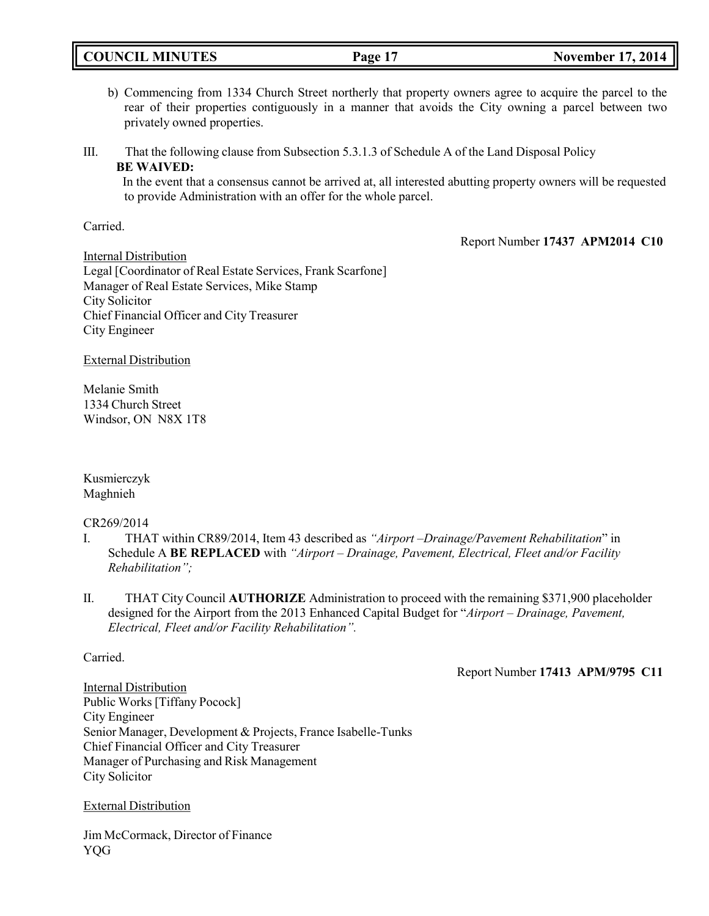| <b>COUNCIL MINUTES</b> | Page | <b>November 17, 2014</b> |
|------------------------|------|--------------------------|
|                        |      |                          |

b) Commencing from 1334 Church Street northerly that property owners agree to acquire the parcel to the rear of their properties contiguously in a manner that avoids the City owning a parcel between two privately owned properties.

III. That the following clause from Subsection 5.3.1.3 of Schedule A of the Land Disposal Policy **BE WAIVED:**

In the event that a consensus cannot be arrived at, all interested abutting property owners will be requested to provide Administration with an offer for the whole parcel.

Carried.

Report Number **17437 APM2014 C10**

Internal Distribution Legal [Coordinator of Real Estate Services, Frank Scarfone] Manager of Real Estate Services, Mike Stamp City Solicitor Chief Financial Officer and City Treasurer City Engineer

External Distribution

Melanie Smith 1334 Church Street Windsor, ON N8X 1T8

Kusmierczyk Maghnieh

CR269/2014

- I. THAT within CR89/2014, Item 43 described as *"Airport –Drainage/Pavement Rehabilitation*" in Schedule A **BE REPLACED** with *"Airport – Drainage, Pavement, Electrical, Fleet and/or Facility Rehabilitation";*
- II. THAT City Council **AUTHORIZE** Administration to proceed with the remaining \$371,900 placeholder designed for the Airport from the 2013 Enhanced Capital Budget for "*Airport – Drainage, Pavement, Electrical, Fleet and/or Facility Rehabilitation".*

# Carried.

Report Number **17413 APM/9795 C11**

Internal Distribution Public Works [Tiffany Pocock] City Engineer Senior Manager, Development & Projects, France Isabelle-Tunks Chief Financial Officer and City Treasurer Manager of Purchasing and Risk Management City Solicitor

External Distribution

Jim McCormack, Director of Finance YQG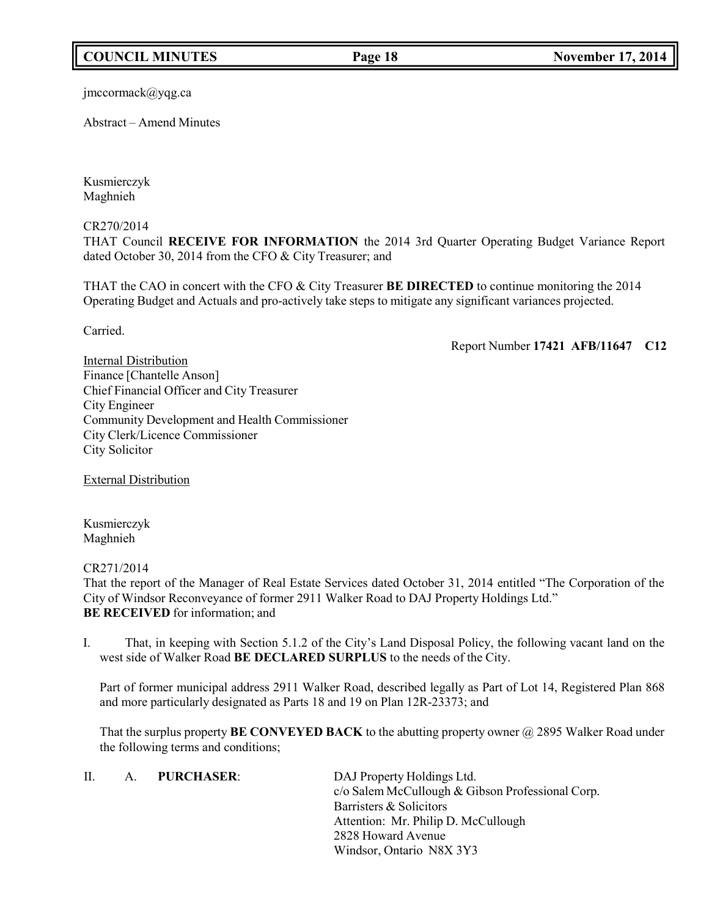# **COUNCIL MINUTES Page 18 November 17, 2014**

[jmccormack@yqg.ca](mailto:jmccormack@yqg.ca)

Abstract – Amend Minutes

Kusmierczyk Maghnieh

CR270/2014

THAT Council **RECEIVE FOR INFORMATION** the 2014 3rd Quarter Operating Budget Variance Report dated October 30, 2014 from the CFO & City Treasurer; and

THAT the CAO in concert with the CFO & City Treasurer **BE DIRECTED** to continue monitoring the 2014 Operating Budget and Actuals and pro-actively take steps to mitigate any significant variances projected.

Carried.

Report Number **17421 AFB/11647 C12**

Internal Distribution Finance [Chantelle Anson] Chief Financial Officer and City Treasurer City Engineer Community Development and Health Commissioner City Clerk/Licence Commissioner City Solicitor

External Distribution

Kusmierczyk Maghnieh

CR271/2014

That the report of the Manager of Real Estate Services dated October 31, 2014 entitled "The Corporation of the City of Windsor Reconveyance of former 2911 Walker Road to DAJ Property Holdings Ltd." **BE RECEIVED** for information; and

I. That, in keeping with Section 5.1.2 of the City's Land Disposal Policy, the following vacant land on the west side of Walker Road **BE DECLARED SURPLUS** to the needs of the City.

Part of former municipal address 2911 Walker Road, described legally as Part of Lot 14, Registered Plan 868 and more particularly designated as Parts 18 and 19 on Plan 12R-23373; and

That the surplus property **BE CONVEYED BACK** to the abutting property owner @ 2895 Walker Road under the following terms and conditions;

II. A. **PURCHASER**: DAJ Property Holdings Ltd. c/o Salem McCullough & Gibson Professional Corp. Barristers & Solicitors Attention: Mr. Philip D. McCullough 2828 Howard Avenue Windsor, Ontario N8X 3Y3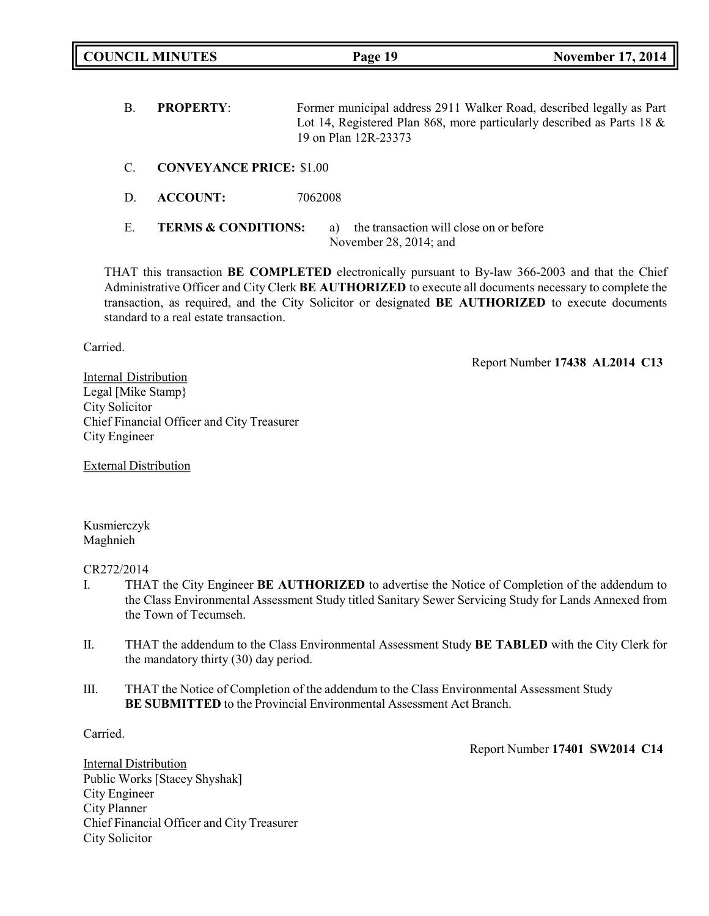|    | <b>COUNCIL MINUTES</b>          | Page 19                                                                                                                                                                | <b>November 17, 2014</b> |
|----|---------------------------------|------------------------------------------------------------------------------------------------------------------------------------------------------------------------|--------------------------|
| Β. | <b>PROPERTY:</b>                | Former municipal address 2911 Walker Road, described legally as Part<br>Lot 14, Registered Plan 868, more particularly described as Parts 18 &<br>19 on Plan 12R-23373 |                          |
| C. | <b>CONVEYANCE PRICE: \$1.00</b> |                                                                                                                                                                        |                          |
| D. | <b>ACCOUNT:</b>                 | 7062008                                                                                                                                                                |                          |
| Е. | <b>TERMS &amp; CONDITIONS:</b>  | the transaction will close on or before<br>a)<br>November 28, 2014; and                                                                                                |                          |

THAT this transaction **BE COMPLETED** electronically pursuant to By-law 366-2003 and that the Chief Administrative Officer and City Clerk **BE AUTHORIZED** to execute all documents necessary to complete the transaction, as required, and the City Solicitor or designated **BE AUTHORIZED** to execute documents standard to a real estate transaction.

Carried.

Report Number **17438 AL2014 C13**

Internal Distribution Legal [Mike Stamp} City Solicitor Chief Financial Officer and City Treasurer City Engineer

External Distribution

Kusmierczyk Maghnieh

CR272/2014

- I. THAT the City Engineer **BE AUTHORIZED** to advertise the Notice of Completion of the addendum to the Class Environmental Assessment Study titled Sanitary Sewer Servicing Study for Lands Annexed from the Town of Tecumseh.
- II. THAT the addendum to the Class Environmental Assessment Study **BE TABLED** with the City Clerk for the mandatory thirty (30) day period.
- III. THAT the Notice of Completion of the addendum to the Class Environmental Assessment Study **BE SUBMITTED** to the Provincial Environmental Assessment Act Branch.

Carried.

Report Number **17401 SW2014 C14**

Internal Distribution Public Works [Stacey Shyshak] City Engineer City Planner Chief Financial Officer and City Treasurer City Solicitor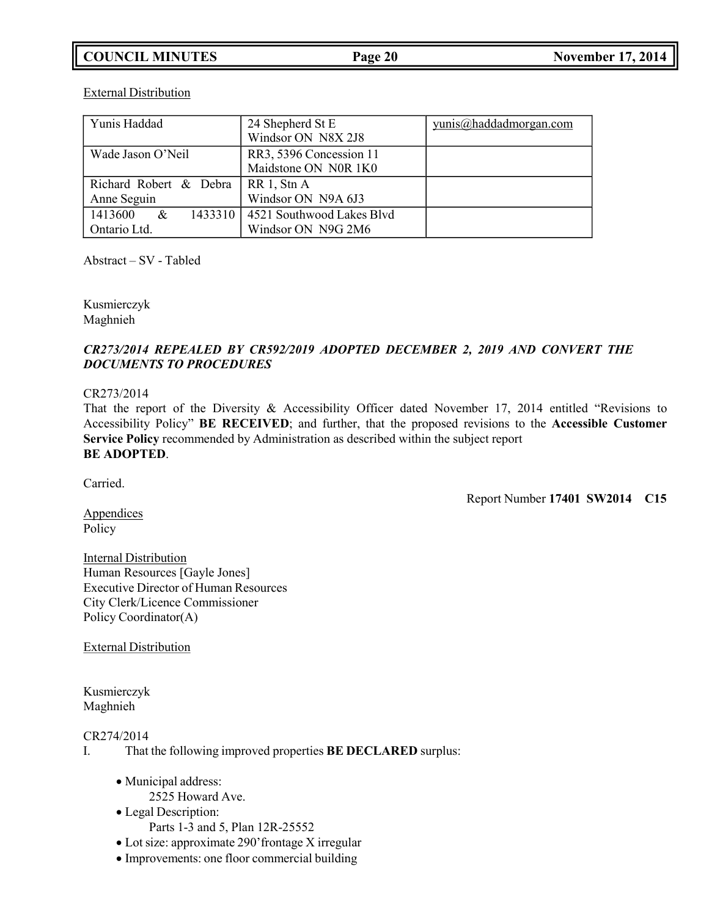# **COUNCIL MINUTES Page 20 November 17, 2014**

Yunis Haddad 24 Shepherd St E Windsor ON N8X 2J8 [yunis@haddadmorgan.com](mailto:yunis@haddadmorgan.com) Wade Jason O'Neil RR3, 5396 Concession 11 Maidstone ON N0R 1K0 Richard Robert & Debra Anne Seguin RR 1, Stn A Windsor ON N9A 6J3 1413600 & 1433310 Ontario Ltd. 4521 Southwood Lakes Blvd Windsor ON N9G 2M6

External Distribution

Abstract – SV - Tabled

Kusmierczyk Maghnieh

# *CR273/2014 REPEALED BY CR592/2019 ADOPTED DECEMBER 2, 2019 AND CONVERT THE DOCUMENTS TO PROCEDURES*

### CR273/2014

That the report of the Diversity & Accessibility Officer dated November 17, 2014 entitled "Revisions to Accessibility Policy" **BE RECEIVED**; and further, that the proposed revisions to the **Accessible Customer Service Policy** recommended by Administration as described within the subject report **BE ADOPTED**.

Carried.

Report Number **17401 SW2014 C15**

**Appendices** Policy

Internal Distribution Human Resources [Gayle Jones] Executive Director of Human Resources City Clerk/Licence Commissioner Policy Coordinator(A)

External Distribution

Kusmierczyk Maghnieh

CR274/2014

- I. That the following improved properties **BE DECLARED** surplus:
	- Municipal address:
		- 2525 Howard Ave.
	- Legal Description: Parts 1-3 and 5, Plan 12R-25552
	- Lot size: approximate 290'frontage X irregular
	- Improvements: one floor commercial building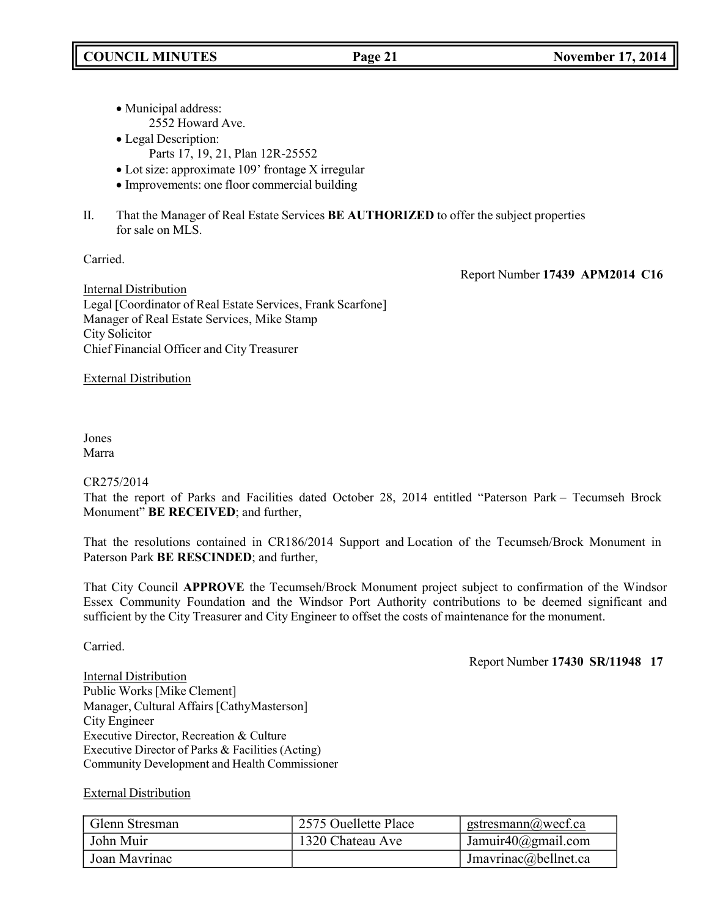- Municipal address: 2552 Howard Ave.
- Legal Description:
	- Parts 17, 19, 21, Plan 12R-25552
- Lot size: approximate 109' frontage X irregular
- Improvements: one floor commercial building
- II. That the Manager of Real Estate Services **BE AUTHORIZED** to offer the subject properties for sale on MLS.

Carried.

Report Number **17439 APM2014 C16**

Internal Distribution Legal [Coordinator of Real Estate Services, Frank Scarfone] Manager of Real Estate Services, Mike Stamp City Solicitor Chief Financial Officer and City Treasurer

External Distribution

## Jones Marra

## CR275/2014

That the report of Parks and Facilities dated October 28, 2014 entitled "Paterson Park – Tecumseh Brock Monument" **BE RECEIVED**; and further,

That the resolutions contained in CR186/2014 Support and Location of the Tecumseh/Brock Monument in Paterson Park **BE RESCINDED**; and further,

That City Council **APPROVE** the Tecumseh/Brock Monument project subject to confirmation of the Windsor Essex Community Foundation and the Windsor Port Authority contributions to be deemed significant and sufficient by the City Treasurer and City Engineer to offset the costs of maintenance for the monument.

Carried.

Report Number **17430 SR/11948 17**

Internal Distribution Public Works [Mike Clement] Manager, Cultural Affairs [CathyMasterson] City Engineer Executive Director, Recreation & Culture Executive Director of Parks & Facilities (Acting) Community Development and Health Commissioner

# External Distribution

| Glenn Stresman | 2575 Ouellette Place | gstresmann@wecf.ca     |
|----------------|----------------------|------------------------|
| John Muir      | 1320 Chateau Ave     | Jamuir $40$ @gmail.com |
| Joan Mavrinac  |                      | Jmavrinac@bellnet.ca   |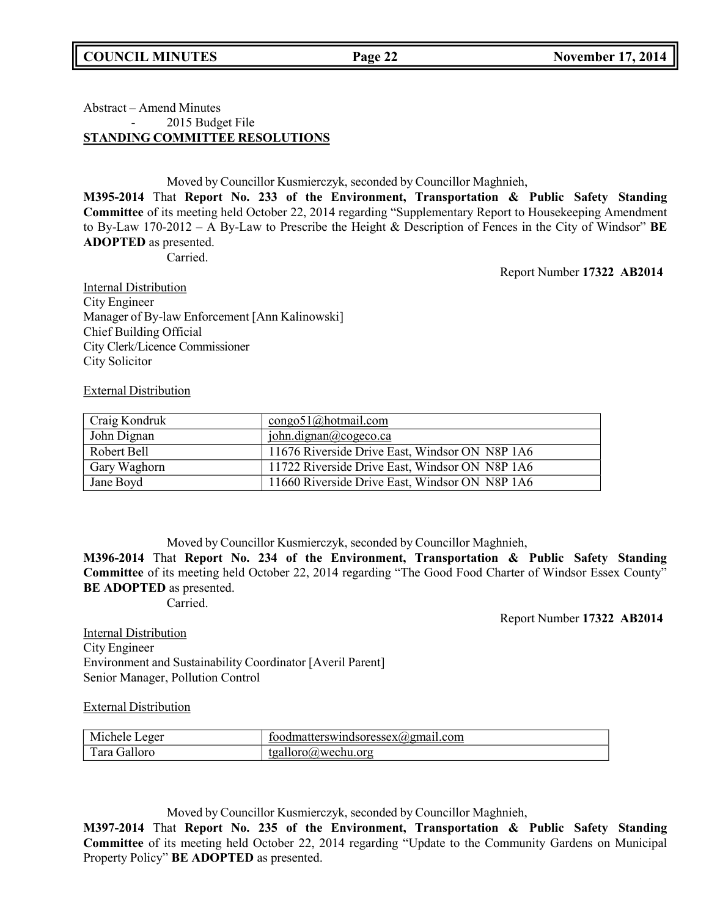## Abstract – Amend Minutes 2015 Budget File **STANDING COMMITTEE RESOLUTIONS**

Moved by Councillor Kusmierczyk, seconded by Councillor Maghnieh,

**M395-2014** That **Report No. 233 of the Environment, Transportation & Public Safety Standing Committee** of its meeting held October 22, 2014 regarding "Supplementary Report to Housekeeping Amendment to By-Law 170-2012 – A By-Law to Prescribe the Height & Description of Fences in the City of Windsor" **BE ADOPTED** as presented.

Carried.

Report Number **17322 AB2014**

Internal Distribution City Engineer Manager of By-law Enforcement [Ann Kalinowski] Chief Building Official City Clerk/Licence Commissioner City Solicitor

External Distribution

| Craig Kondruk | $congo51$ (a) hotmail.com                         |
|---------------|---------------------------------------------------|
| John Dignan   | $\overline{\text{iohn.dignan}(\omega)}$ cogeco.ca |
| Robert Bell   | 11676 Riverside Drive East, Windsor ON N8P 1A6    |
| Gary Waghorn  | 11722 Riverside Drive East, Windsor ON N8P 1A6    |
| Jane Boyd     | 11660 Riverside Drive East, Windsor ON N8P 1A6    |

Moved by Councillor Kusmierczyk, seconded by Councillor Maghnieh,

**M396-2014** That **Report No. 234 of the Environment, Transportation & Public Safety Standing Committee** of its meeting held October 22, 2014 regarding "The Good Food Charter of Windsor Essex County" **BE ADOPTED** as presented.

Carried.

Report Number **17322 AB2014**

Internal Distribution City Engineer Environment and Sustainability Coordinator [Averil Parent] Senior Manager, Pollution Control

External Distribution

| Michele.<br>Leger | toodmatterswindsoressex(a)gmail.com |
|-------------------|-------------------------------------|
| Tara Galloro      | tgalloro@wechu.org                  |

Moved by Councillor Kusmierczyk, seconded by Councillor Maghnieh,

**M397-2014** That **Report No. 235 of the Environment, Transportation & Public Safety Standing Committee** of its meeting held October 22, 2014 regarding "Update to the Community Gardens on Municipal Property Policy" **BE ADOPTED** as presented.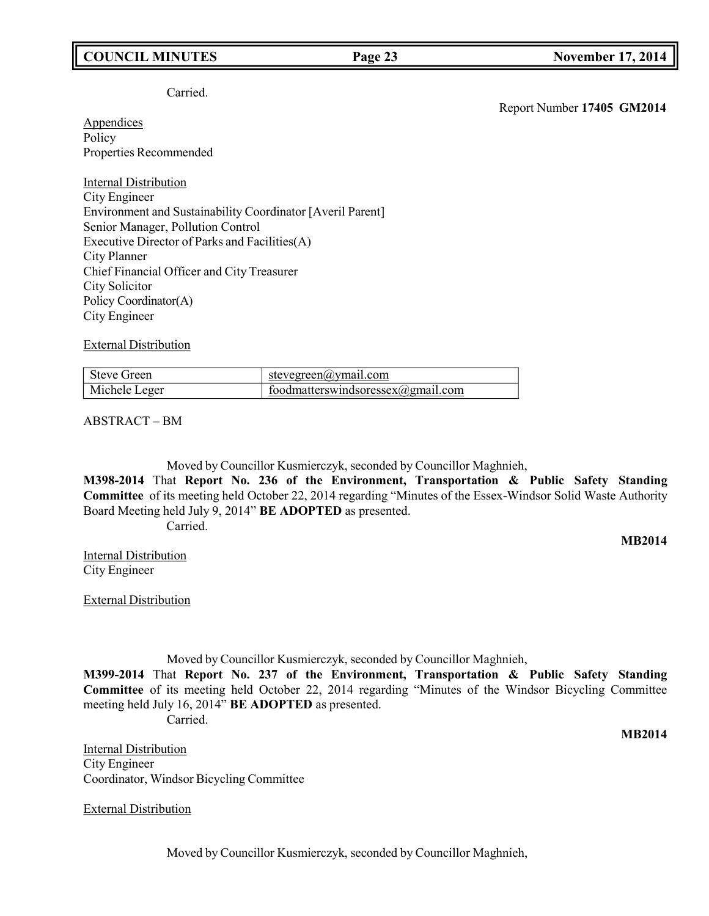# **COUNCIL MINUTES Page 23 November 17, 2014**

### Carried.

**Appendices** Policy Properties Recommended

Internal Distribution City Engineer Environment and Sustainability Coordinator [Averil Parent] Senior Manager, Pollution Control Executive Director of Parks and Facilities(A) City Planner Chief Financial Officer and City Treasurer City Solicitor Policy Coordinator(A) City Engineer

External Distribution

| Steve Green   | stevegreen@ymail.com                    |
|---------------|-----------------------------------------|
| Michele Leger | foodmatterswindsoressex $(a)$ gmail.com |

ABSTRACT – BM

Moved by Councillor Kusmierczyk, seconded by Councillor Maghnieh,

**M398-2014** That **Report No. 236 of the Environment, Transportation & Public Safety Standing Committee** of its meeting held October 22, 2014 regarding "Minutes of the Essex-Windsor Solid Waste Authority Board Meeting held July 9, 2014" **BE ADOPTED** as presented.

Carried.

**MB2014**

Internal Distribution City Engineer

External Distribution

Moved by Councillor Kusmierczyk, seconded by Councillor Maghnieh,

**M399-2014** That **Report No. 237 of the Environment, Transportation & Public Safety Standing Committee** of its meeting held October 22, 2014 regarding "Minutes of the Windsor Bicycling Committee meeting held July 16, 2014" **BE ADOPTED** as presented.

Carried.

**MB2014**

Internal Distribution City Engineer Coordinator, Windsor Bicycling Committee

External Distribution

Moved by Councillor Kusmierczyk, seconded by Councillor Maghnieh,

Report Number **17405 GM2014**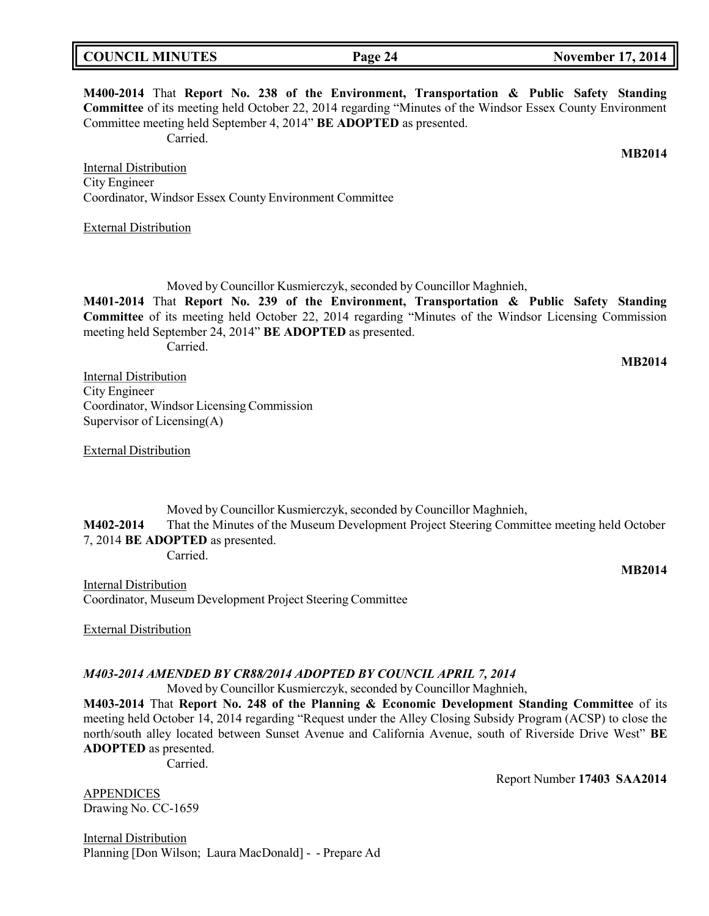| <b>COUNCIL MINUTES</b> | Page 24 | <b>November 17, 2014</b> |
|------------------------|---------|--------------------------|
|                        |         |                          |



Internal Distribution City Engineer Coordinator, Windsor Essex County Environment Committee

External Distribution

Moved by Councillor Kusmierczyk, seconded by Councillor Maghnieh,

**M401-2014** That **Report No. 239 of the Environment, Transportation & Public Safety Standing Committee** of its meeting held October 22, 2014 regarding "Minutes of the Windsor Licensing Commission meeting held September 24, 2014" **BE ADOPTED** as presented.

Carried.

**MB2014**

Internal Distribution City Engineer Coordinator, Windsor Licensing Commission Supervisor of Licensing(A)

External Distribution

Moved by Councillor Kusmierczyk, seconded by Councillor Maghnieh, **M402-2014** That the Minutes of the Museum Development Project Steering Committee meeting held October 7, 2014 **BE ADOPTED** as presented. Carried.

**MB2014**

Internal Distribution Coordinator, Museum Development Project Steering Committee

External Distribution

## *M403-2014 AMENDED BY CR88/2014 ADOPTED BY COUNCIL APRIL 7, 2014*

Moved by Councillor Kusmierczyk, seconded by Councillor Maghnieh,

**M403-2014** That **Report No. 248 of the Planning & Economic Development Standing Committee** of its meeting held October 14, 2014 regarding "Request under the Alley Closing Subsidy Program (ACSP) to close the north/south alley located between Sunset Avenue and California Avenue, south of Riverside Drive West" **BE ADOPTED** as presented.

Carried.

Report Number **17403 SAA2014**

APPENDICES Drawing No. CC-1659

Internal Distribution Planning [Don Wilson; Laura MacDonald] - - Prepare Ad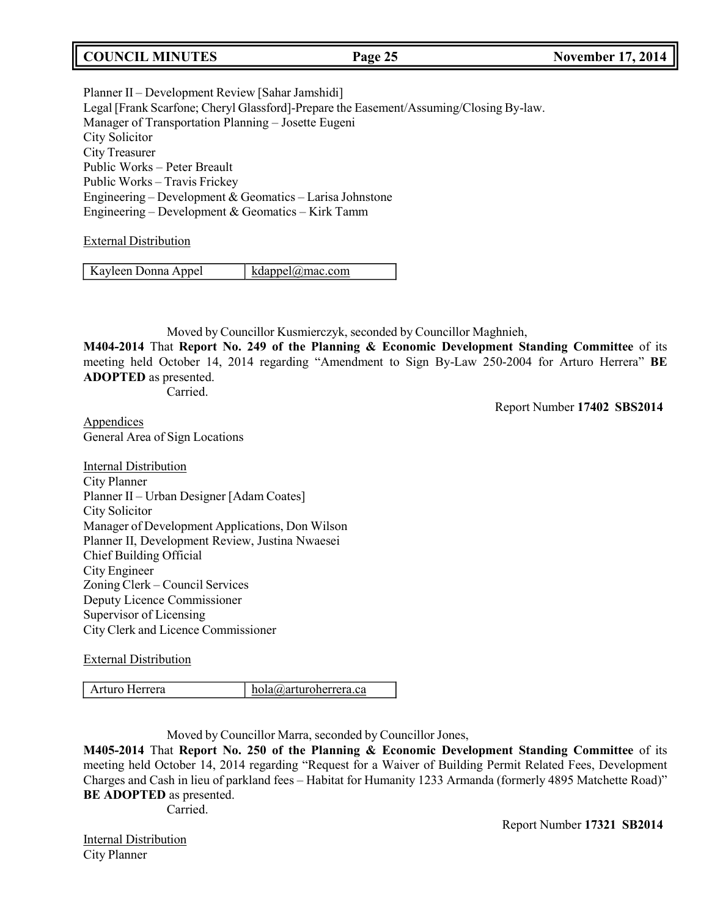# **COUNCIL MINUTES Page 25 November 17, 2014**

Planner II – Development Review [Sahar Jamshidi] Legal [Frank Scarfone; Cheryl Glassford]-Prepare the Easement/Assuming/Closing By-law. Manager of Transportation Planning – Josette Eugeni City Solicitor City Treasurer Public Works – Peter Breault Public Works – Travis Frickey Engineering – Development & Geomatics – Larisa Johnstone Engineering – Development & Geomatics – Kirk Tamm

### External Distribution

| Kayleen Donna Appel | $k \text{dappel}(a)$ mac.com |
|---------------------|------------------------------|
|                     |                              |

Moved by Councillor Kusmierczyk, seconded by Councillor Maghnieh,

**M404-2014** That **Report No. 249 of the Planning & Economic Development Standing Committee** of its meeting held October 14, 2014 regarding "Amendment to Sign By-Law 250-2004 for Arturo Herrera" **BE ADOPTED** as presented.

Carried.

Report Number **17402 SBS2014**

Appendices General Area of Sign Locations

Internal Distribution City Planner Planner II – Urban Designer [Adam Coates] City Solicitor Manager of Development Applications, Don Wilson Planner II, Development Review, Justina Nwaesei Chief Building Official City Engineer Zoning Clerk – Council Services Deputy Licence Commissioner Supervisor of Licensing City Clerk and Licence Commissioner

External Distribution

Arturo Herrera [hola@arturoherrera.ca](mailto:hola@arturoherrera.ca)

Moved by Councillor Marra, seconded by Councillor Jones,

**M405-2014** That **Report No. 250 of the Planning & Economic Development Standing Committee** of its meeting held October 14, 2014 regarding "Request for a Waiver of Building Permit Related Fees, Development Charges and Cash in lieu of parkland fees – Habitat for Humanity 1233 Armanda (formerly 4895 Matchette Road)" **BE ADOPTED** as presented.

Carried.

**Internal Distribution** City Planner

Report Number **17321 SB2014**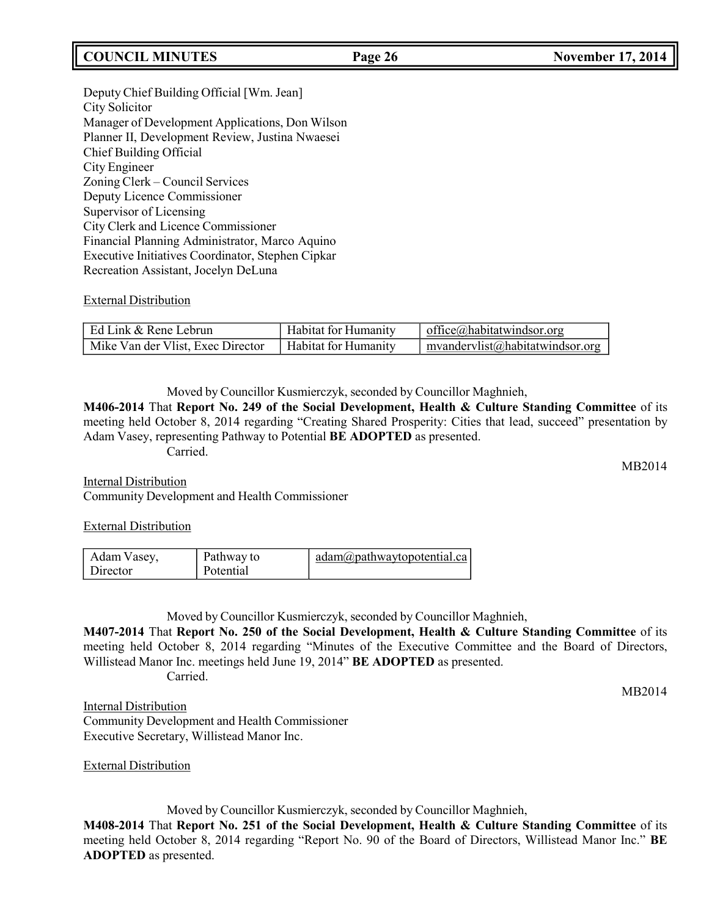# **COUNCIL MINUTES Page 26 November 17, 2014**

Deputy Chief Building Official [Wm. Jean] City Solicitor Manager of Development Applications, Don Wilson Planner II, Development Review, Justina Nwaesei Chief Building Official City Engineer Zoning Clerk – Council Services Deputy Licence Commissioner Supervisor of Licensing City Clerk and Licence Commissioner Financial Planning Administrator, Marco Aquino Executive Initiatives Coordinator, Stephen Cipkar Recreation Assistant, Jocelyn DeLuna

### External Distribution

| l Ed Link & Rene Lebrun           | <b>Habitat for Humanity</b> | office@habitatwindsor.org          |
|-----------------------------------|-----------------------------|------------------------------------|
| Mike Van der Vlist, Exec Director | Habitat for Humanity        | $m$ vandervlist@habitatwindsor.org |

Moved by Councillor Kusmierczyk, seconded by Councillor Maghnieh,

**M406-2014** That **Report No. 249 of the Social Development, Health & Culture Standing Committee** of its meeting held October 8, 2014 regarding "Creating Shared Prosperity: Cities that lead, succeed" presentation by Adam Vasey, representing Pathway to Potential **BE ADOPTED** as presented.

Carried.

Internal Distribution Community Development and Health Commissioner

### External Distribution

| Adam Vasey, | Pathway to | $\alpha$ adam $\omega$ pathwaytopotential.ca |
|-------------|------------|----------------------------------------------|
| Director    | Potential  |                                              |

Moved by Councillor Kusmierczyk, seconded by Councillor Maghnieh,

**M407-2014** That **Report No. 250 of the Social Development, Health & Culture Standing Committee** of its meeting held October 8, 2014 regarding "Minutes of the Executive Committee and the Board of Directors, Willistead Manor Inc. meetings held June 19, 2014" **BE ADOPTED** as presented.

Carried.

**Internal Distribution** Community Development and Health Commissioner Executive Secretary, Willistead Manor Inc.

External Distribution

Moved by Councillor Kusmierczyk, seconded by Councillor Maghnieh, **M408-2014** That **Report No. 251 of the Social Development, Health & Culture Standing Committee** of its meeting held October 8, 2014 regarding "Report No. 90 of the Board of Directors, Willistead Manor Inc." **BE ADOPTED** as presented.

MB2014

MB2014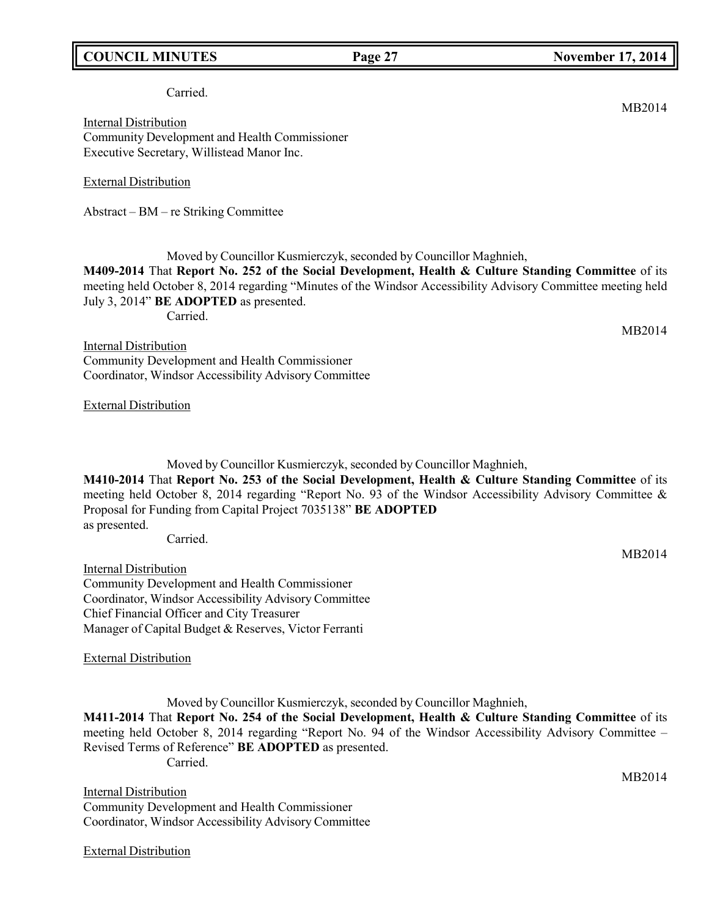# **COUNCIL MINUTES Page 27 November 17, 2014**

### Carried.

Internal Distribution Community Development and Health Commissioner Executive Secretary, Willistead Manor Inc.

External Distribution

Abstract – BM – re Striking Committee

Moved by Councillor Kusmierczyk, seconded by Councillor Maghnieh,

**M409-2014** That **Report No. 252 of the Social Development, Health & Culture Standing Committee** of its meeting held October 8, 2014 regarding "Minutes of the Windsor Accessibility Advisory Committee meeting held July 3, 2014" **BE ADOPTED** as presented.

Carried.

MB2014

Internal Distribution Community Development and Health Commissioner Coordinator, Windsor Accessibility Advisory Committee

External Distribution

Moved by Councillor Kusmierczyk, seconded by Councillor Maghnieh,

**M410-2014** That **Report No. 253 of the Social Development, Health & Culture Standing Committee** of its meeting held October 8, 2014 regarding "Report No. 93 of the Windsor Accessibility Advisory Committee & Proposal for Funding from Capital Project 7035138" **BE ADOPTED** as presented.

Carried.

Internal Distribution

Community Development and Health Commissioner Coordinator, Windsor Accessibility Advisory Committee Chief Financial Officer and City Treasurer Manager of Capital Budget & Reserves, Victor Ferranti

External Distribution

Moved by Councillor Kusmierczyk, seconded by Councillor Maghnieh, **M411-2014** That **Report No. 254 of the Social Development, Health & Culture Standing Committee** of its meeting held October 8, 2014 regarding "Report No. 94 of the Windsor Accessibility Advisory Committee – Revised Terms of Reference" **BE ADOPTED** as presented. Carried.

Internal Distribution Community Development and Health Commissioner Coordinator, Windsor Accessibility Advisory Committee

External Distribution

MB2014

MB2014

MB2014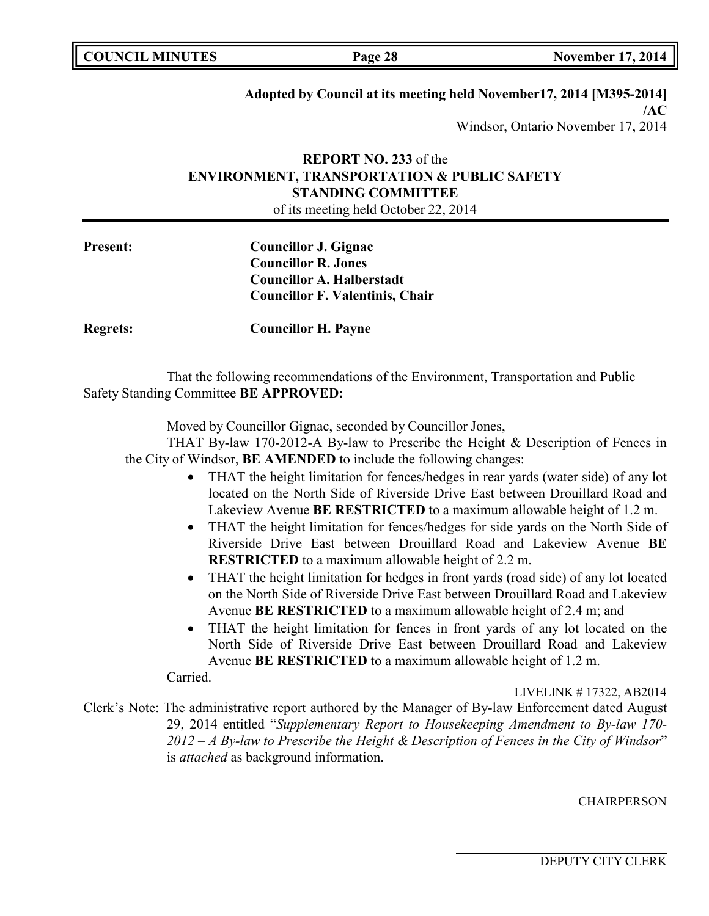|  | <b>COUNCIL MINUTES</b> |
|--|------------------------|
|--|------------------------|

# **Adopted by Council at its meeting held November17, 2014 [M395-2014]**

**/AC** Windsor, Ontario November 17, 2014

# **REPORT NO. 233** of the **ENVIRONMENT, TRANSPORTATION & PUBLIC SAFETY STANDING COMMITTEE** of its meeting held October 22, 2014

**Present: Councillor J. Gignac Councillor R. Jones Councillor A. Halberstadt Councillor F. Valentinis, Chair**

**Regrets: Councillor H. Payne**

That the following recommendations of the Environment, Transportation and Public Safety Standing Committee **BE APPROVED:**

Moved by Councillor Gignac, seconded by Councillor Jones,

THAT By-law 170-2012-A By-law to Prescribe the Height & Description of Fences in the City of Windsor, **BE AMENDED** to include the following changes:

- THAT the height limitation for fences/hedges in rear yards (water side) of any lot located on the North Side of Riverside Drive East between Drouillard Road and Lakeview Avenue **BE RESTRICTED** to a maximum allowable height of 1.2 m.
- THAT the height limitation for fences/hedges for side yards on the North Side of Riverside Drive East between Drouillard Road and Lakeview Avenue **BE RESTRICTED** to a maximum allowable height of 2.2 m.
- THAT the height limitation for hedges in front vards (road side) of any lot located on the North Side of Riverside Drive East between Drouillard Road and Lakeview Avenue **BE RESTRICTED** to a maximum allowable height of 2.4 m; and
- THAT the height limitation for fences in front yards of any lot located on the North Side of Riverside Drive East between Drouillard Road and Lakeview Avenue **BE RESTRICTED** to a maximum allowable height of 1.2 m.

Carried.

LIVELINK # 17322, AB2014

Clerk's Note: The administrative report authored by the Manager of By-law Enforcement dated August 29, 2014 entitled "*Supplementary Report to Housekeeping Amendment to By-law 170- 2012 – A By-law to Prescribe the Height & Description of Fences in the City of Windsor*" is *attached* as background information.

**CHAIRPERSON**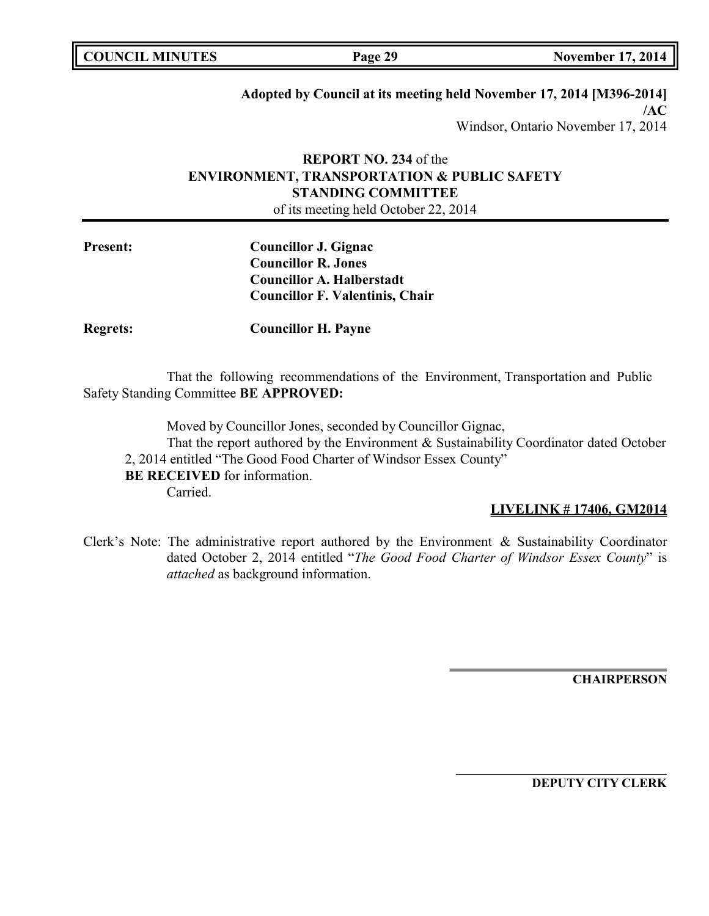# **Adopted by Council at its meeting held November 17, 2014 [M396-2014]**

**/AC** Windsor, Ontario November 17, 2014

# **REPORT NO. 234** of the **ENVIRONMENT, TRANSPORTATION & PUBLIC SAFETY STANDING COMMITTEE** of its meeting held October 22, 2014

**Present: Councillor J. Gignac Councillor R. Jones Councillor A. Halberstadt Councillor F. Valentinis, Chair**

**Regrets: Councillor H. Payne**

That the following recommendations of the Environment, Transportation and Public Safety Standing Committee **BE APPROVED:**

Moved by Councillor Jones, seconded by Councillor Gignac, That the report authored by the Environment & Sustainability Coordinator dated October 2, 2014 entitled "The Good Food Charter of Windsor Essex County" **BE RECEIVED** for information.

Carried.

# **LIVELINK # 17406, GM2014**

Clerk's Note: The administrative report authored by the Environment & Sustainability Coordinator dated October 2, 2014 entitled "*The Good Food Charter of Windsor Essex County*" is *attached* as background information.

**CHAIRPERSON**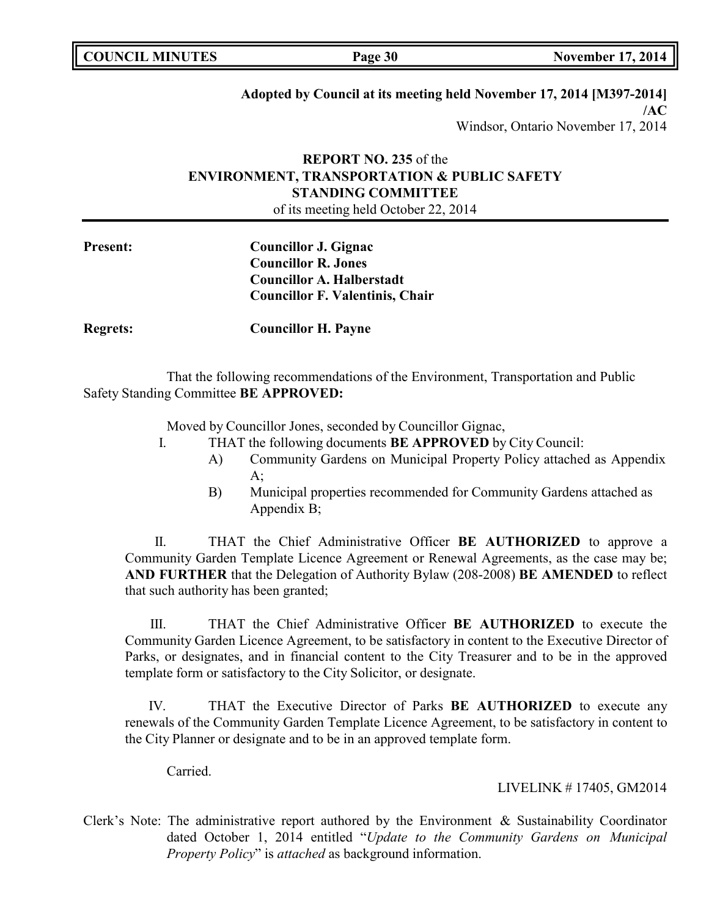# **Adopted by Council at its meeting held November 17, 2014 [M397-2014]**

**/AC** Windsor, Ontario November 17, 2014

# **REPORT NO. 235** of the **ENVIRONMENT, TRANSPORTATION & PUBLIC SAFETY STANDING COMMITTEE** of its meeting held October 22, 2014

**Present: Councillor J. Gignac Councillor R. Jones Councillor A. Halberstadt Councillor F. Valentinis, Chair**

**Regrets: Councillor H. Payne**

That the following recommendations of the Environment, Transportation and Public Safety Standing Committee **BE APPROVED:**

Moved by Councillor Jones, seconded by Councillor Gignac,

- I. THAT the following documents **BE APPROVED** by City Council:
	- A) Community Gardens on Municipal Property Policy attached as Appendix  $A$ :
	- B) Municipal properties recommended for Community Gardens attached as Appendix B;

II. THAT the Chief Administrative Officer **BE AUTHORIZED** to approve a Community Garden Template Licence Agreement or Renewal Agreements, as the case may be; **AND FURTHER** that the Delegation of Authority Bylaw (208-2008) **BE AMENDED** to reflect that such authority has been granted;

III. THAT the Chief Administrative Officer **BE AUTHORIZED** to execute the Community Garden Licence Agreement, to be satisfactory in content to the Executive Director of Parks, or designates, and in financial content to the City Treasurer and to be in the approved template form or satisfactory to the City Solicitor, or designate.

IV. THAT the Executive Director of Parks **BE AUTHORIZED** to execute any renewals of the Community Garden Template Licence Agreement, to be satisfactory in content to the City Planner or designate and to be in an approved template form.

Carried.

LIVELINK # 17405, GM2014

Clerk's Note: The administrative report authored by the Environment & Sustainability Coordinator dated October 1, 2014 entitled "*Update to the Community Gardens on Municipal Property Policy*" is *attached* as background information.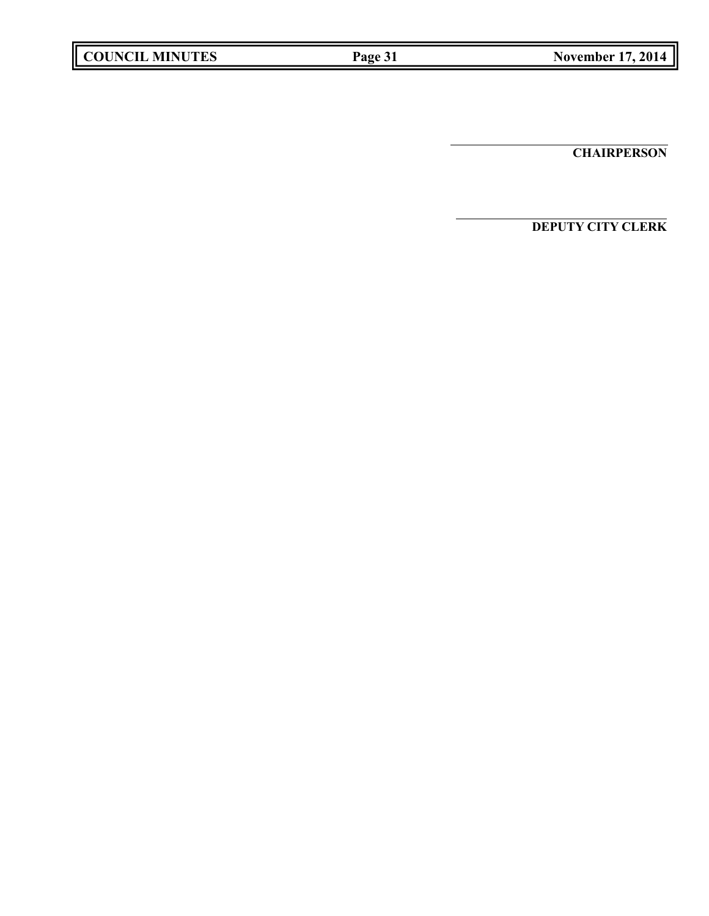**CHAIRPERSON**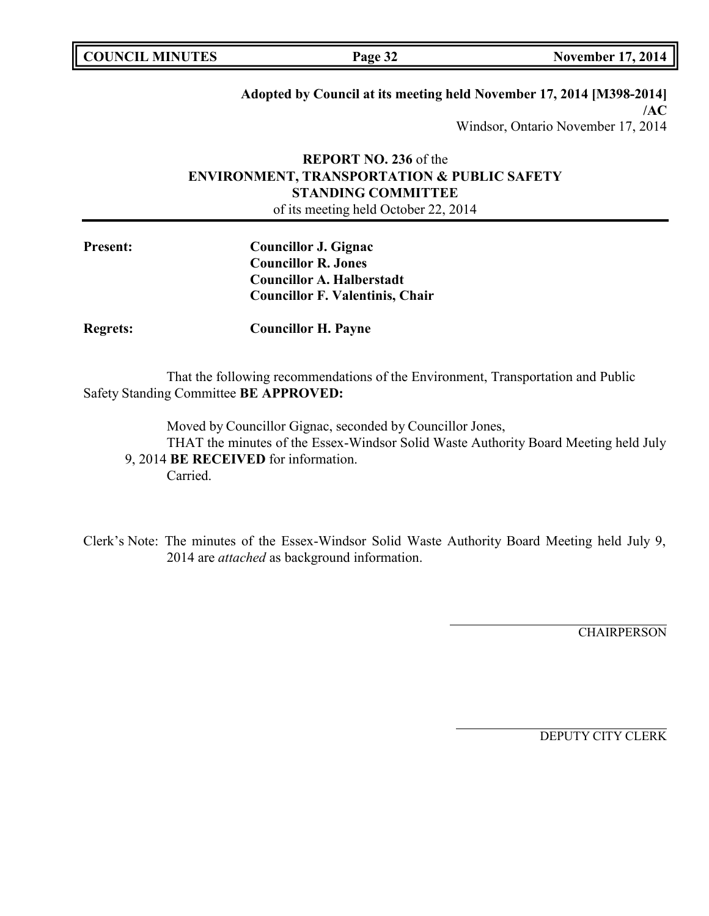# **Adopted by Council at its meeting held November 17, 2014 [M398-2014]**

**/AC** Windsor, Ontario November 17, 2014

# **REPORT NO. 236** of the **ENVIRONMENT, TRANSPORTATION & PUBLIC SAFETY STANDING COMMITTEE** of its meeting held October 22, 2014

**Present: Councillor J. Gignac Councillor R. Jones Councillor A. Halberstadt Councillor F. Valentinis, Chair**

**Regrets: Councillor H. Payne**

That the following recommendations of the Environment, Transportation and Public Safety Standing Committee **BE APPROVED:**

Moved by Councillor Gignac, seconded by Councillor Jones,

THAT the minutes of the Essex-Windsor Solid Waste Authority Board Meeting held July 9, 2014 **BE RECEIVED** for information.

Carried.

Clerk's Note: The minutes of the Essex-Windsor Solid Waste Authority Board Meeting held July 9, 2014 are *attached* as background information.

**CHAIRPERSON**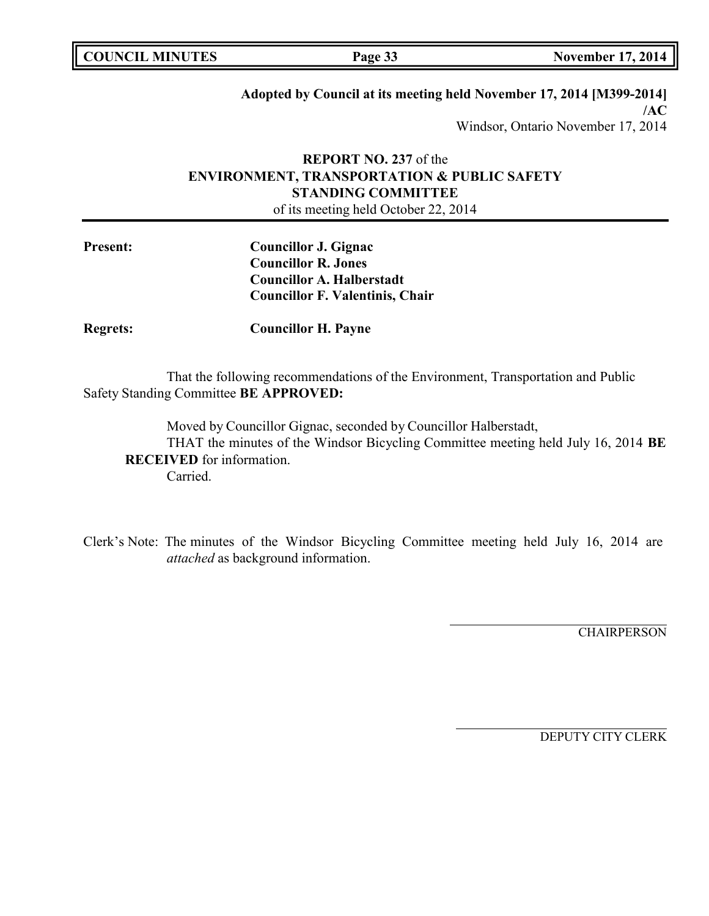# **Adopted by Council at its meeting held November 17, 2014 [M399-2014]**

**/AC** Windsor, Ontario November 17, 2014

# **REPORT NO. 237** of the **ENVIRONMENT, TRANSPORTATION & PUBLIC SAFETY STANDING COMMITTEE** of its meeting held October 22, 2014

**Present: Councillor J. Gignac Councillor R. Jones Councillor A. Halberstadt Councillor F. Valentinis, Chair**

**Regrets: Councillor H. Payne**

That the following recommendations of the Environment, Transportation and Public Safety Standing Committee **BE APPROVED:**

Moved by Councillor Gignac, seconded by Councillor Halberstadt, THAT the minutes of the Windsor Bicycling Committee meeting held July 16, 2014 **BE RECEIVED** for information. Carried.

Clerk's Note: The minutes of the Windsor Bicycling Committee meeting held July 16, 2014 are *attached* as background information.

**CHAIRPERSON**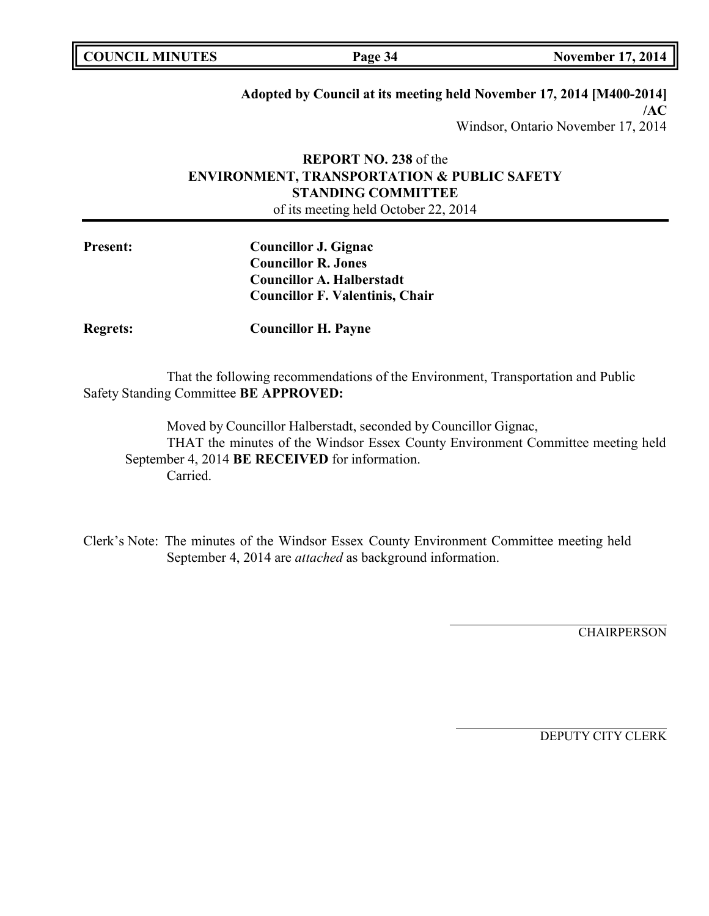# **Adopted by Council at its meeting held November 17, 2014 [M400-2014]**

**/AC** Windsor, Ontario November 17, 2014

# **REPORT NO. 238** of the **ENVIRONMENT, TRANSPORTATION & PUBLIC SAFETY STANDING COMMITTEE** of its meeting held October 22, 2014

**Present: Councillor J. Gignac Councillor R. Jones Councillor A. Halberstadt Councillor F. Valentinis, Chair**

**Regrets: Councillor H. Payne**

That the following recommendations of the Environment, Transportation and Public Safety Standing Committee **BE APPROVED:**

Moved by Councillor Halberstadt, seconded by Councillor Gignac, THAT the minutes of the Windsor Essex County Environment Committee meeting held September 4, 2014 **BE RECEIVED** for information. Carried.

Clerk's Note: The minutes of the Windsor Essex County Environment Committee meeting held September 4, 2014 are *attached* as background information.

**CHAIRPERSON**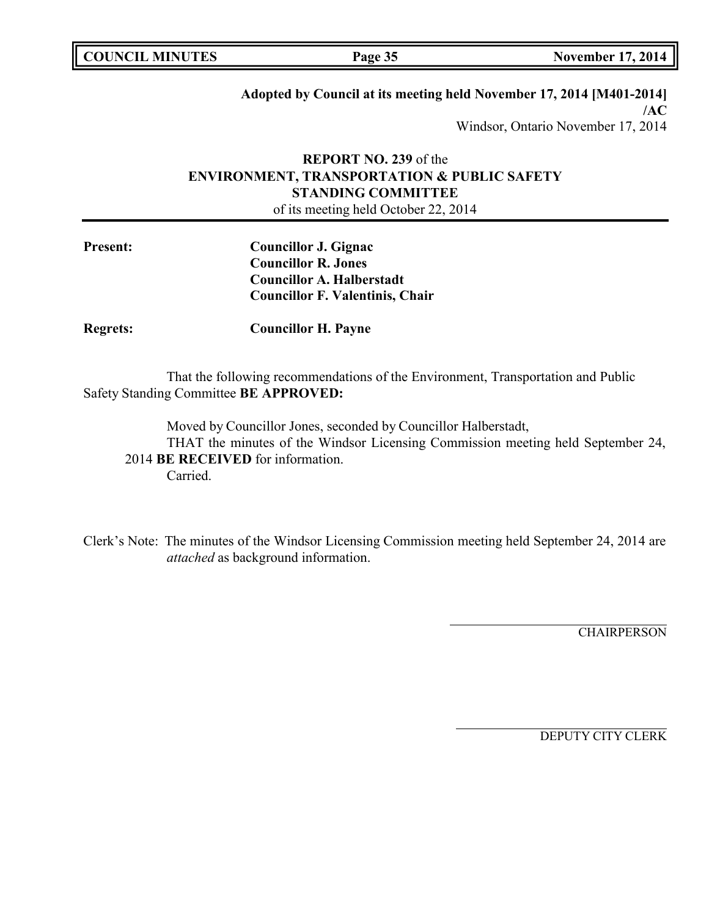# **Adopted by Council at its meeting held November 17, 2014 [M401-2014]**

**/AC** Windsor, Ontario November 17, 2014

# **REPORT NO. 239** of the **ENVIRONMENT, TRANSPORTATION & PUBLIC SAFETY STANDING COMMITTEE** of its meeting held October 22, 2014

**Present: Councillor J. Gignac Councillor R. Jones Councillor A. Halberstadt Councillor F. Valentinis, Chair**

**Regrets: Councillor H. Payne**

That the following recommendations of the Environment, Transportation and Public Safety Standing Committee **BE APPROVED:**

Moved by Councillor Jones, seconded by Councillor Halberstadt, THAT the minutes of the Windsor Licensing Commission meeting held September 24, 2014 **BE RECEIVED** for information. Carried.

Clerk's Note: The minutes of the Windsor Licensing Commission meeting held September 24, 2014 are *attached* as background information.

**CHAIRPERSON**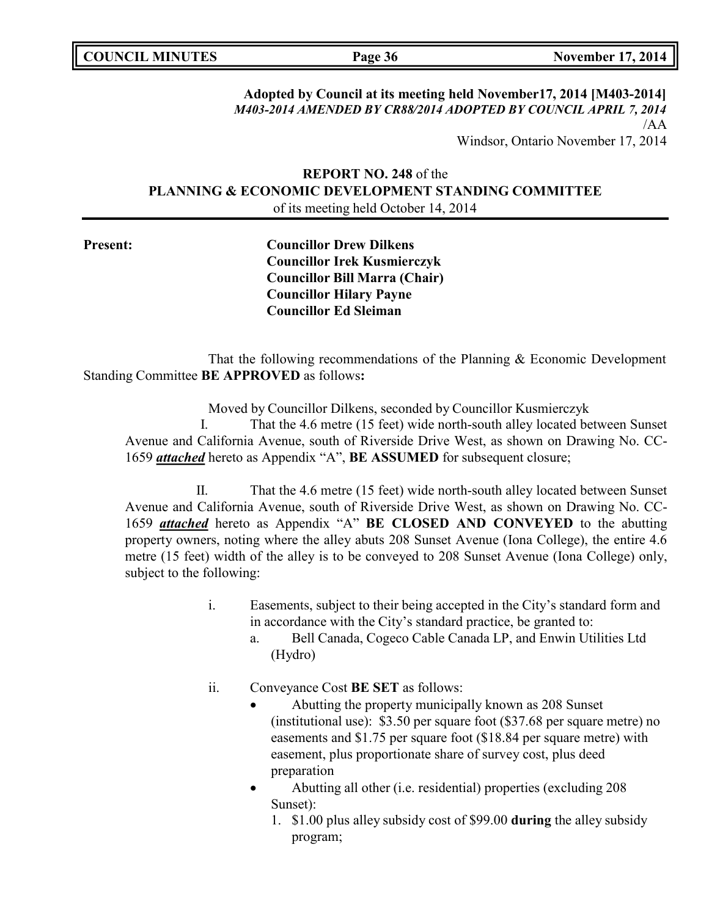# **Adopted by Council at its meeting held November17, 2014 [M403-2014]** *M403-2014 AMENDED BY CR88/2014 ADOPTED BY COUNCIL APRIL 7, 2014* /AA Windsor, Ontario November 17, 2014

# **REPORT NO. 248** of the **PLANNING & ECONOMIC DEVELOPMENT STANDING COMMITTEE** of its meeting held October 14, 2014

**Present: Councillor Drew Dilkens Councillor Irek Kusmierczyk Councillor Bill Marra (Chair) Councillor Hilary Payne Councillor Ed Sleiman**

That the following recommendations of the Planning & Economic Development Standing Committee **BE APPROVED** as follows**:**

Moved by Councillor Dilkens, seconded by Councillor Kusmierczyk

I. That the 4.6 metre (15 feet) wide north-south alley located between Sunset Avenue and California Avenue, south of Riverside Drive West, as shown on Drawing No. CC-1659 *attached* hereto as Appendix "A", **BE ASSUMED** for subsequent closure;

II. That the 4.6 metre (15 feet) wide north-south alley located between Sunset Avenue and California Avenue, south of Riverside Drive West, as shown on Drawing No. CC-1659 *attached* hereto as Appendix "A" **BE CLOSED AND CONVEYED** to the abutting property owners, noting where the alley abuts 208 Sunset Avenue (Iona College), the entire 4.6 metre (15 feet) width of the alley is to be conveyed to 208 Sunset Avenue (Iona College) only, subject to the following:

- i. Easements, subject to their being accepted in the City's standard form and in accordance with the City's standard practice, be granted to:
	- a. Bell Canada, Cogeco Cable Canada LP, and Enwin Utilities Ltd (Hydro)
- ii. Conveyance Cost **BE SET** as follows:
	- Abutting the property municipally known as 208 Sunset (institutional use): \$3.50 per square foot (\$37.68 per square metre) no easements and \$1.75 per square foot (\$18.84 per square metre) with easement, plus proportionate share of survey cost, plus deed preparation
	- Abutting all other (i.e. residential) properties (excluding 208 Sunset):
		- 1. \$1.00 plus alley subsidy cost of \$99.00 **during** the alley subsidy program;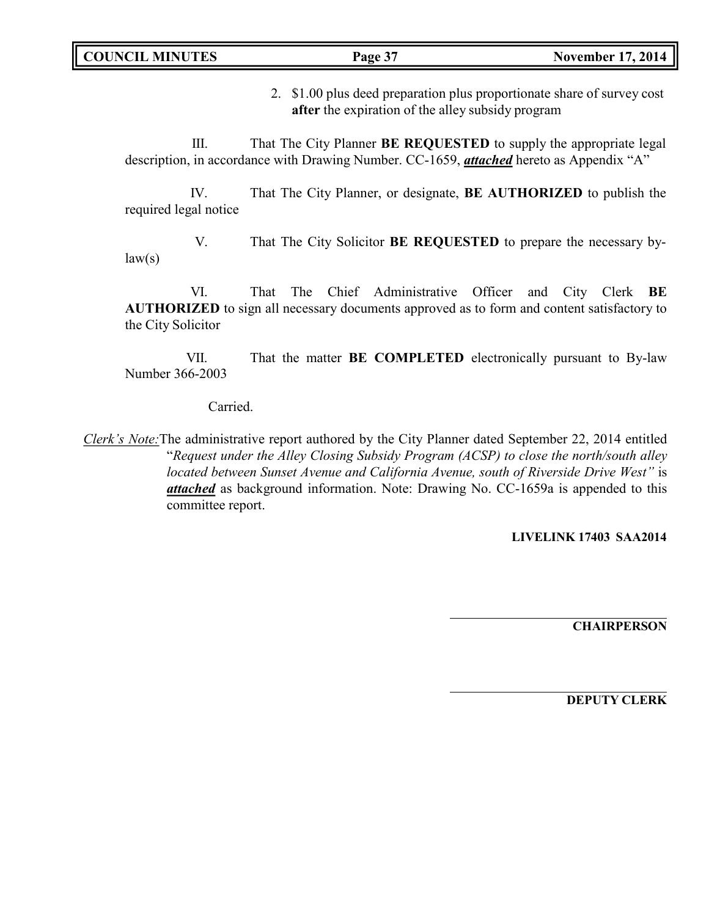2. \$1.00 plus deed preparation plus proportionate share of survey cost **after** the expiration of the alley subsidy program

III. That The City Planner **BE REQUESTED** to supply the appropriate legal description, in accordance with Drawing Number. CC-1659, *attached* hereto as Appendix "A"

IV. That The City Planner, or designate, **BE AUTHORIZED** to publish the required legal notice

V. That The City Solicitor **BE REQUESTED** to prepare the necessary by $law(s)$ 

VI. That The Chief Administrative Officer and City Clerk **BE AUTHORIZED** to sign all necessary documents approved as to form and content satisfactory to the City Solicitor

VII. That the matter **BE COMPLETED** electronically pursuant to By-law Number 366-2003

Carried.

*Clerk's Note:*The administrative report authored by the City Planner dated September 22, 2014 entitled "*Request under the Alley Closing Subsidy Program (ACSP) to close the north/south alley located between Sunset Avenue and California Avenue, south of Riverside Drive West"* is *attached* as background information. Note: Drawing No. CC-1659a is appended to this committee report.

**LIVELINK 17403 SAA2014**

**CHAIRPERSON**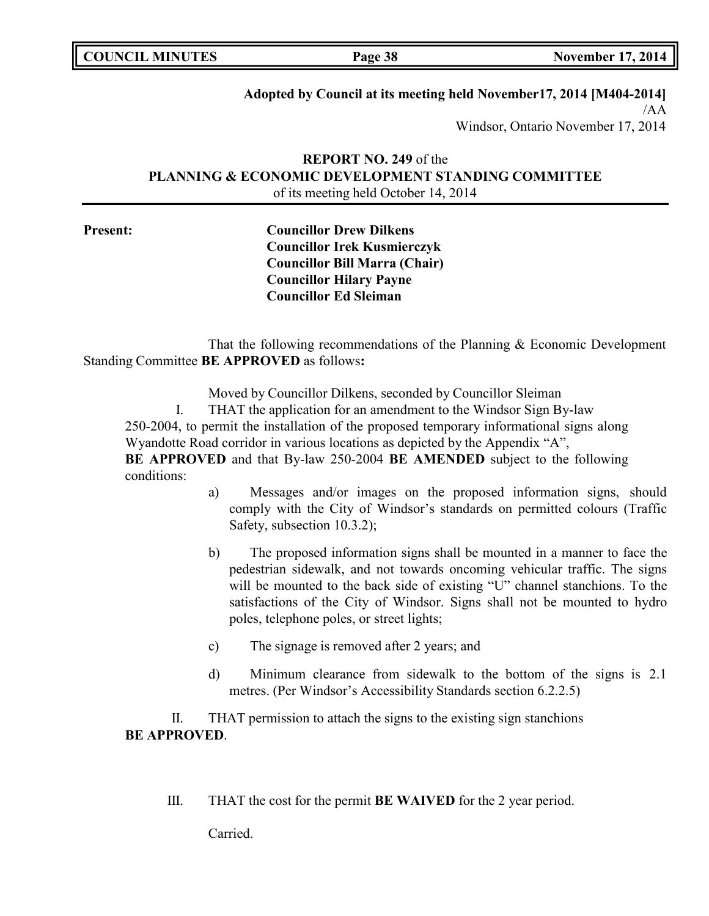| <b>COUNCIL MINUTES</b> |  |
|------------------------|--|
|------------------------|--|

**Page 38 November 17, 2014** 

# **Adopted by Council at its meeting held November17, 2014 [M404-2014]**

/AA Windsor, Ontario November 17, 2014

# **REPORT NO. 249** of the **PLANNING & ECONOMIC DEVELOPMENT STANDING COMMITTEE** of its meeting held October 14, 2014

**Present: Councillor Drew Dilkens Councillor Irek Kusmierczyk Councillor Bill Marra (Chair) Councillor Hilary Payne Councillor Ed Sleiman**

That the following recommendations of the Planning & Economic Development Standing Committee **BE APPROVED** as follows**:**

Moved by Councillor Dilkens, seconded by Councillor Sleiman

I. THAT the application for an amendment to the Windsor Sign By-law 250-2004, to permit the installation of the proposed temporary informational signs along Wyandotte Road corridor in various locations as depicted by the Appendix "A", **BE APPROVED** and that By-law 250-2004 **BE AMENDED** subject to the following conditions:

- a) Messages and/or images on the proposed information signs, should comply with the City of Windsor's standards on permitted colours (Traffic Safety, subsection 10.3.2);
- b) The proposed information signs shall be mounted in a manner to face the pedestrian sidewalk, and not towards oncoming vehicular traffic. The signs will be mounted to the back side of existing "U" channel stanchions. To the satisfactions of the City of Windsor. Signs shall not be mounted to hydro poles, telephone poles, or street lights;
- c) The signage is removed after 2 years; and
- d) Minimum clearance from sidewalk to the bottom of the signs is 2.1 metres. (Per Windsor's Accessibility Standards section 6.2.2.5)

II. THAT permission to attach the signs to the existing sign stanchions **BE APPROVED**.

III. THAT the cost for the permit **BE WAIVED** for the 2 year period.

Carried.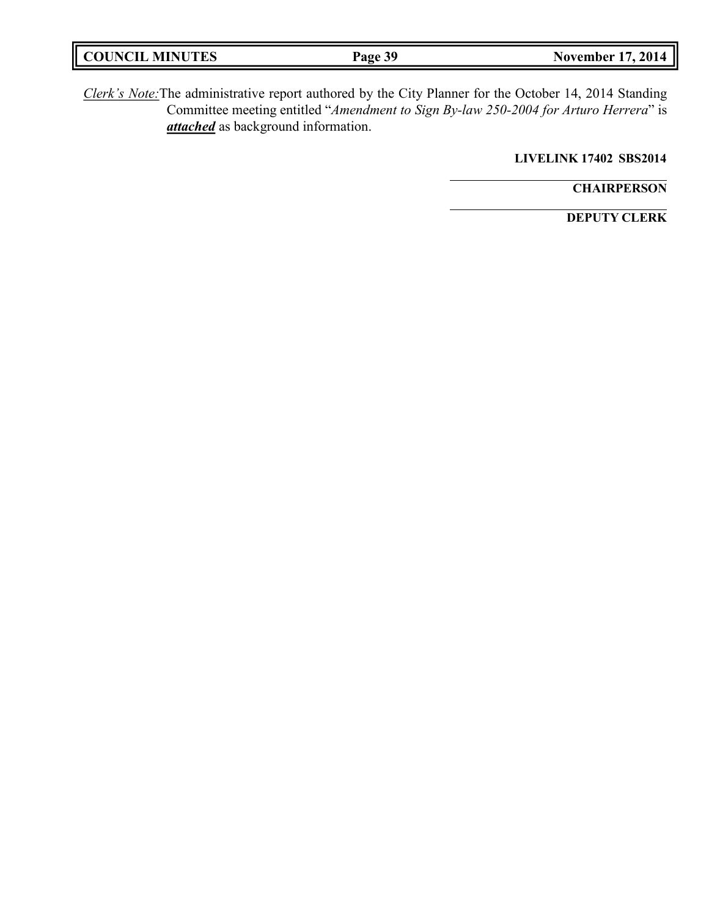| <b>COUNCIL MINUTES</b> | Page 39 | 2014<br>November 17, |
|------------------------|---------|----------------------|
|                        |         |                      |

*Clerk's Note:*The administrative report authored by the City Planner for the October 14, 2014 Standing Committee meeting entitled "*Amendment to Sign By-law 250-2004 for Arturo Herrera*" is *attached* as background information.

**LIVELINK 17402 SBS2014**

**CHAIRPERSON**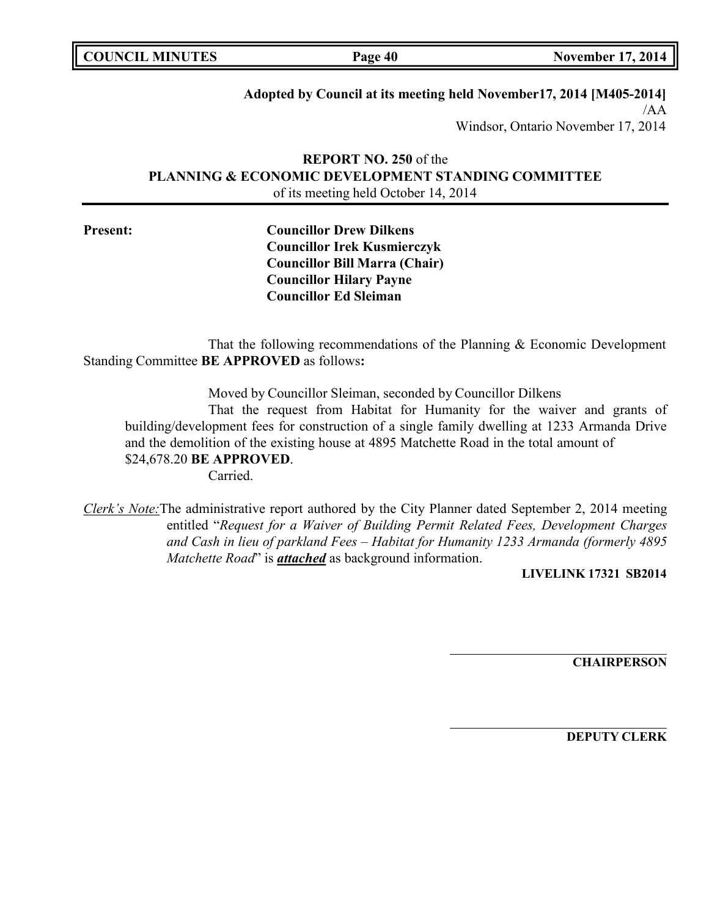**Page 40 November 17, 2014** 

# **Adopted by Council at its meeting held November17, 2014 [M405-2014]**

/AA Windsor, Ontario November 17, 2014

# **REPORT NO. 250** of the **PLANNING & ECONOMIC DEVELOPMENT STANDING COMMITTEE** of its meeting held October 14, 2014

**Present: Councillor Drew Dilkens Councillor Irek Kusmierczyk Councillor Bill Marra (Chair) Councillor Hilary Payne Councillor Ed Sleiman**

That the following recommendations of the Planning & Economic Development Standing Committee **BE APPROVED** as follows**:**

Moved by Councillor Sleiman, seconded by Councillor Dilkens

That the request from Habitat for Humanity for the waiver and grants of building/development fees for construction of a single family dwelling at 1233 Armanda Drive and the demolition of the existing house at 4895 Matchette Road in the total amount of \$24,678.20 **BE APPROVED**.

Carried.

*Clerk's Note:*The administrative report authored by the City Planner dated September 2, 2014 meeting entitled "*Request for a Waiver of Building Permit Related Fees, Development Charges and Cash in lieu of parkland Fees – Habitat for Humanity 1233 Armanda (formerly 4895 Matchette Road*" is *attached* as background information.

# **LIVELINK 17321 SB2014**

**CHAIRPERSON**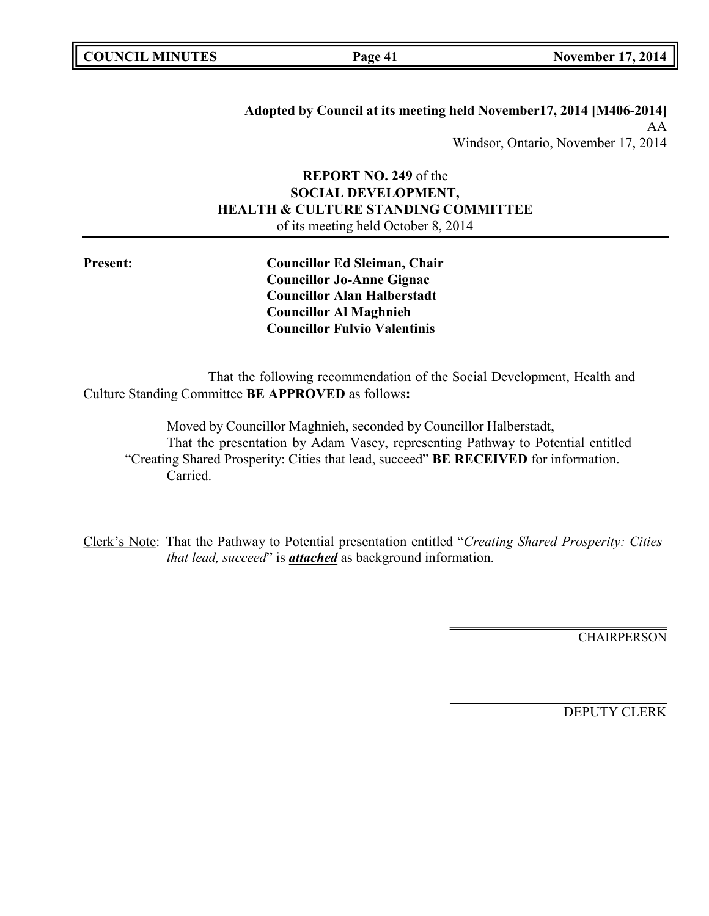|  | <b>COUNCIL MINUTES</b> |
|--|------------------------|
|--|------------------------|

**Adopted by Council at its meeting held November17, 2014 [M406-2014]** AA Windsor, Ontario, November 17, 2014

# **REPORT NO. 249** of the **SOCIAL DEVELOPMENT, HEALTH & CULTURE STANDING COMMITTEE** of its meeting held October 8, 2014

**Present: Councillor Ed Sleiman, Chair Councillor Jo-Anne Gignac Councillor Alan Halberstadt Councillor Al Maghnieh Councillor Fulvio Valentinis**

That the following recommendation of the Social Development, Health and Culture Standing Committee **BE APPROVED** as follows**:**

Moved by Councillor Maghnieh, seconded by Councillor Halberstadt, That the presentation by Adam Vasey, representing Pathway to Potential entitled "Creating Shared Prosperity: Cities that lead, succeed" **BE RECEIVED** for information. Carried.

Clerk's Note: That the Pathway to Potential presentation entitled "*Creating Shared Prosperity: Cities that lead, succeed*" is *attached* as background information.

**CHAIRPERSON**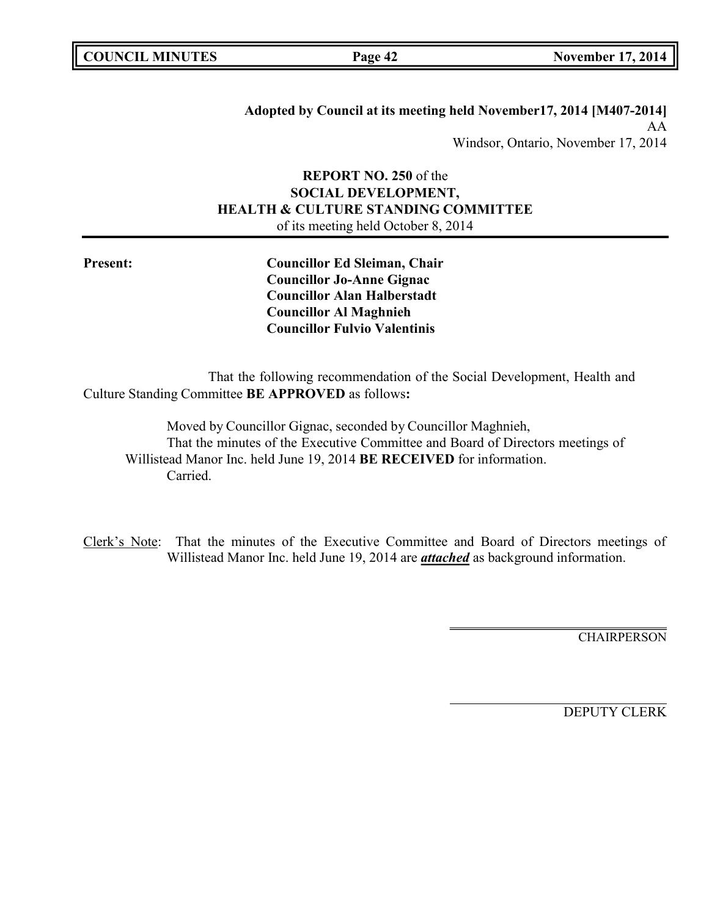|  | <b>COUNCIL MINUTES</b> |
|--|------------------------|
|--|------------------------|

**Adopted by Council at its meeting held November17, 2014 [M407-2014]** AA Windsor, Ontario, November 17, 2014

# **REPORT NO. 250** of the **SOCIAL DEVELOPMENT, HEALTH & CULTURE STANDING COMMITTEE** of its meeting held October 8, 2014

**Present: Councillor Ed Sleiman, Chair Councillor Jo-Anne Gignac Councillor Alan Halberstadt Councillor Al Maghnieh Councillor Fulvio Valentinis**

That the following recommendation of the Social Development, Health and Culture Standing Committee **BE APPROVED** as follows**:**

Moved by Councillor Gignac, seconded by Councillor Maghnieh, That the minutes of the Executive Committee and Board of Directors meetings of Willistead Manor Inc. held June 19, 2014 **BE RECEIVED** for information. Carried.

Clerk's Note: That the minutes of the Executive Committee and Board of Directors meetings of Willistead Manor Inc. held June 19, 2014 are *attached* as background information.

**CHAIRPERSON**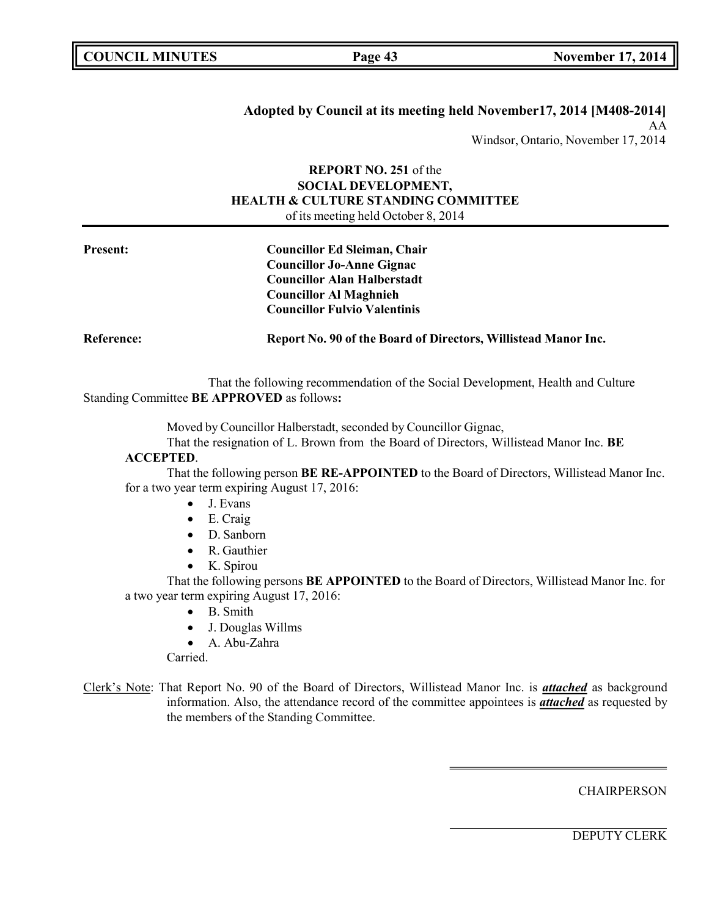# **Adopted by Council at its meeting held November17, 2014 [M408-2014]** AA

Windsor, Ontario, November 17, 2014

## **REPORT NO. 251** of the **SOCIAL DEVELOPMENT, HEALTH & CULTURE STANDING COMMITTEE** of its meeting held October 8, 2014

| <b>Present:</b>   | <b>Councillor Ed Sleiman, Chair</b>                            |  |
|-------------------|----------------------------------------------------------------|--|
|                   | <b>Councillor Jo-Anne Gignac</b>                               |  |
|                   | <b>Councillor Alan Halberstadt</b>                             |  |
|                   | <b>Councillor Al Maghnieh</b>                                  |  |
|                   | <b>Councillor Fulvio Valentinis</b>                            |  |
| <b>Reference:</b> | Report No. 90 of the Board of Directors, Willistead Manor Inc. |  |

That the following recommendation of the Social Development, Health and Culture Standing Committee **BE APPROVED** as follows**:**

Moved by Councillor Halberstadt, seconded by Councillor Gignac,

That the resignation of L. Brown from the Board of Directors, Willistead Manor Inc. **BE**

# **ACCEPTED**.

That the following person **BE RE-APPOINTED** to the Board of Directors, Willistead Manor Inc. for a two year term expiring August 17, 2016:

- J. Evans
- E. Craig
- D. Sanborn
- R. Gauthier
- K. Spirou

That the following persons **BE APPOINTED** to the Board of Directors, Willistead Manor Inc. for a two year term expiring August 17, 2016:

- B. Smith
- J. Douglas Willms
- A. Abu-Zahra

Carried.

Clerk's Note: That Report No. 90 of the Board of Directors, Willistead Manor Inc. is *attached* as background information. Also, the attendance record of the committee appointees is *attached* as requested by the members of the Standing Committee.

**CHAIRPERSON**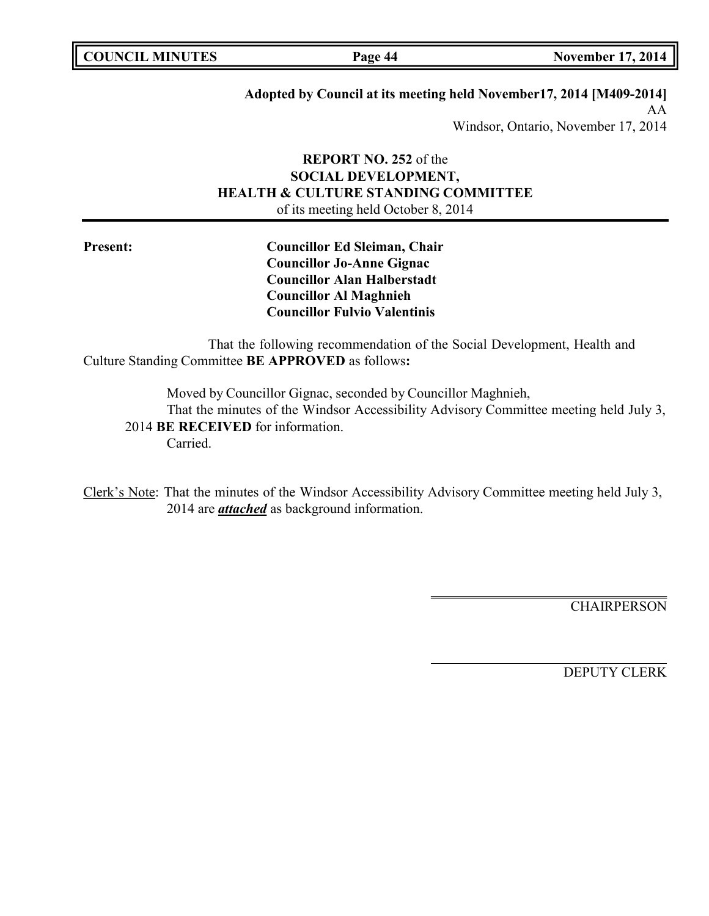| <b>COUNCIL MINUTES</b> |  |
|------------------------|--|
|------------------------|--|

**Page 44 November 17, 2014** 

# **Adopted by Council at its meeting held November17, 2014 [M409-2014]**

AA Windsor, Ontario, November 17, 2014

# **REPORT NO. 252** of the **SOCIAL DEVELOPMENT, HEALTH & CULTURE STANDING COMMITTEE** of its meeting held October 8, 2014

**Present: Councillor Ed Sleiman, Chair Councillor Jo-Anne Gignac Councillor Alan Halberstadt Councillor Al Maghnieh Councillor Fulvio Valentinis**

That the following recommendation of the Social Development, Health and Culture Standing Committee **BE APPROVED** as follows**:**

Moved by Councillor Gignac, seconded by Councillor Maghnieh, That the minutes of the Windsor Accessibility Advisory Committee meeting held July 3, 2014 **BE RECEIVED** for information. Carried.

Clerk's Note: That the minutes of the Windsor Accessibility Advisory Committee meeting held July 3, 2014 are *attached* as background information.

**CHAIRPERSON**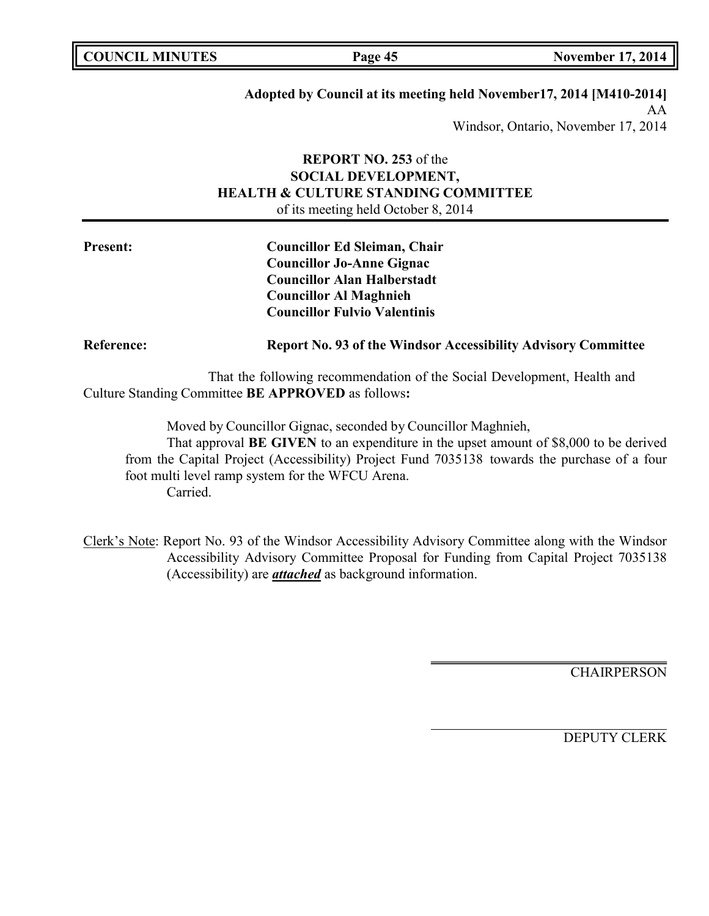# **Adopted by Council at its meeting held November17, 2014 [M410-2014]**

AA Windsor, Ontario, November 17, 2014

# **REPORT NO. 253** of the **SOCIAL DEVELOPMENT, HEALTH & CULTURE STANDING COMMITTEE** of its meeting held October 8, 2014

| <b>Present:</b>   | <b>Councillor Ed Sleiman, Chair</b>                                  |  |
|-------------------|----------------------------------------------------------------------|--|
|                   | <b>Councillor Jo-Anne Gignac</b>                                     |  |
|                   | <b>Councillor Alan Halberstadt</b>                                   |  |
|                   | <b>Councillor Al Maghnieh</b>                                        |  |
|                   | <b>Councillor Fulvio Valentinis</b>                                  |  |
| <b>Reference:</b> | <b>Report No. 93 of the Windsor Accessibility Advisory Committee</b> |  |

That the following recommendation of the Social Development, Health and Culture Standing Committee **BE APPROVED** as follows**:**

Moved by Councillor Gignac, seconded by Councillor Maghnieh,

That approval **BE GIVEN** to an expenditure in the upset amount of \$8,000 to be derived from the Capital Project (Accessibility) Project Fund 7035138 towards the purchase of a four foot multi level ramp system for the WFCU Arena. Carried.

Clerk's Note: Report No. 93 of the Windsor Accessibility Advisory Committee along with the Windsor Accessibility Advisory Committee Proposal for Funding from Capital Project 7035138 (Accessibility) are *attached* as background information.

**CHAIRPERSON**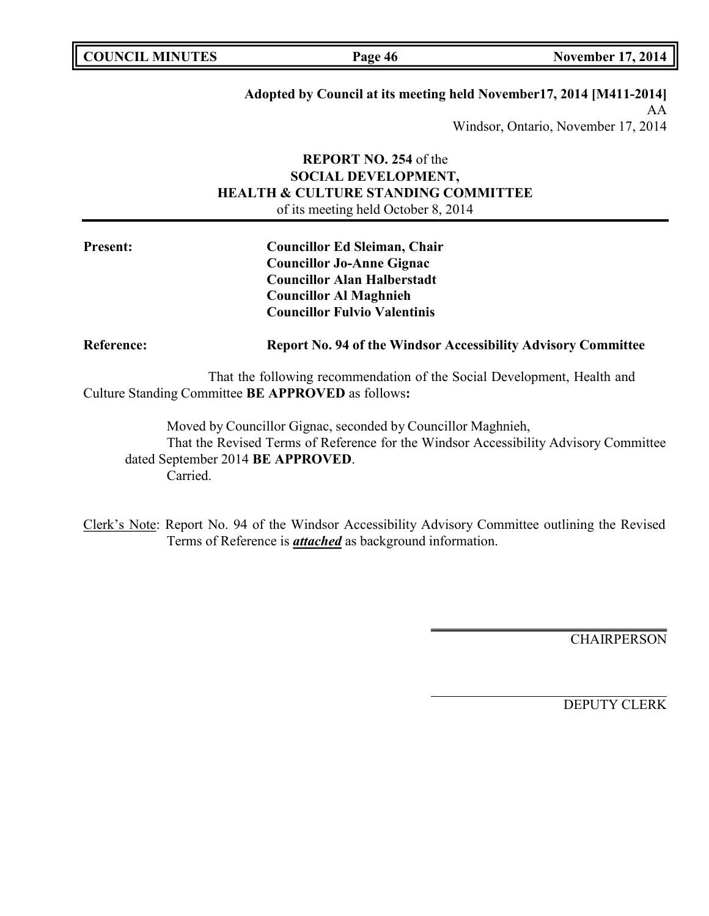## **Adopted by Council at its meeting held November17, 2014 [M411-2014]**

AA Windsor, Ontario, November 17, 2014

# **REPORT NO. 254** of the **SOCIAL DEVELOPMENT, HEALTH & CULTURE STANDING COMMITTEE** of its meeting held October 8, 2014

| <b>Present:</b>   | <b>Councillor Ed Sleiman, Chair</b>                                  |  |
|-------------------|----------------------------------------------------------------------|--|
|                   | <b>Councillor Jo-Anne Gignac</b>                                     |  |
|                   | <b>Councillor Alan Halberstadt</b>                                   |  |
|                   | <b>Councillor Al Maghnieh</b>                                        |  |
|                   | <b>Councillor Fulvio Valentinis</b>                                  |  |
| <b>Reference:</b> | <b>Report No. 94 of the Windsor Accessibility Advisory Committee</b> |  |

That the following recommendation of the Social Development, Health and Culture Standing Committee **BE APPROVED** as follows**:**

Moved by Councillor Gignac, seconded by Councillor Maghnieh, That the Revised Terms of Reference for the Windsor Accessibility Advisory Committee dated September 2014 **BE APPROVED**. Carried.

Clerk's Note: Report No. 94 of the Windsor Accessibility Advisory Committee outlining the Revised Terms of Reference is *attached* as background information.

CHAIRPERSON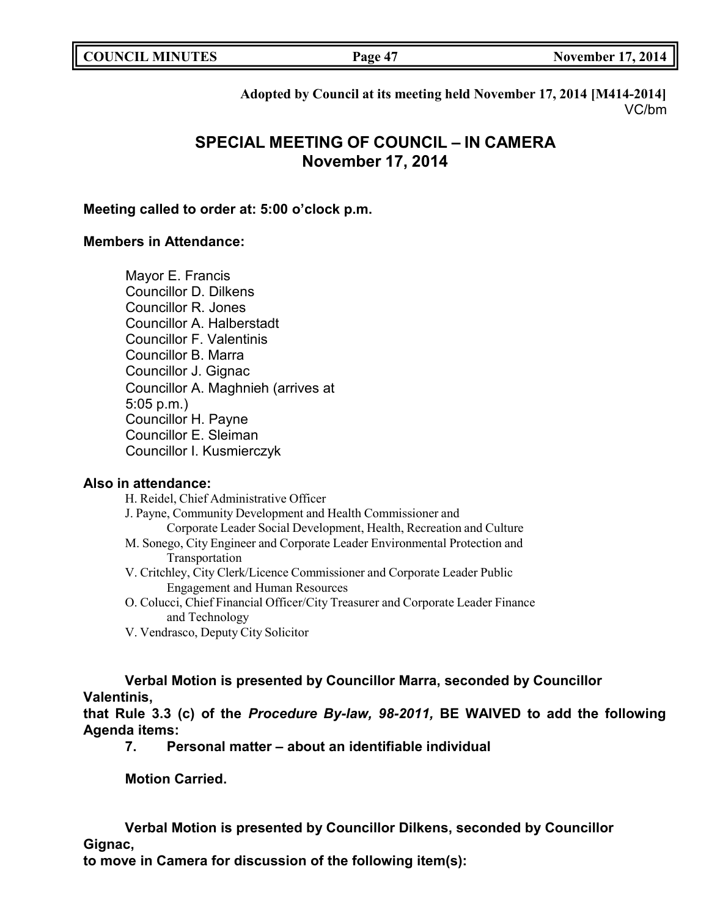| <b>COUNCIL MINUTES</b> | Page 47 | <b>November 17, 2014</b> |
|------------------------|---------|--------------------------|
|                        |         |                          |

**Adopted by Council at its meeting held November 17, 2014 [M414-2014]** VC/bm

# **SPECIAL MEETING OF COUNCIL – IN CAMERA November 17, 2014**

# **Meeting called to order at: 5:00 o'clock p.m.**

# **Members in Attendance:**

Mayor E. Francis Councillor D. Dilkens Councillor R. Jones Councillor A. Halberstadt Councillor F. Valentinis Councillor B. Marra Councillor J. Gignac Councillor A. Maghnieh (arrives at 5:05 p.m.) Councillor H. Payne Councillor E. Sleiman Councillor I. Kusmierczyk

## **Also in attendance:**

H. Reidel, Chief Administrative Officer J. Payne, Community Development and Health Commissioner and Corporate Leader Social Development, Health, Recreation and Culture M. Sonego, City Engineer and Corporate Leader Environmental Protection and Transportation V. Critchley, City Clerk/Licence Commissioner and Corporate Leader Public Engagement and Human Resources O. Colucci, Chief Financial Officer/City Treasurer and Corporate Leader Finance and Technology

V. Vendrasco, Deputy City Solicitor

**Verbal Motion is presented by Councillor Marra, seconded by Councillor Valentinis,**

**that Rule 3.3 (c) of the** *Procedure By-law, 98-2011,* **BE WAIVED to add the following Agenda items:**

**7. Personal matter – about an identifiable individual**

**Motion Carried.**

**Verbal Motion is presented by Councillor Dilkens, seconded by Councillor Gignac,**

**to move in Camera for discussion of the following item(s):**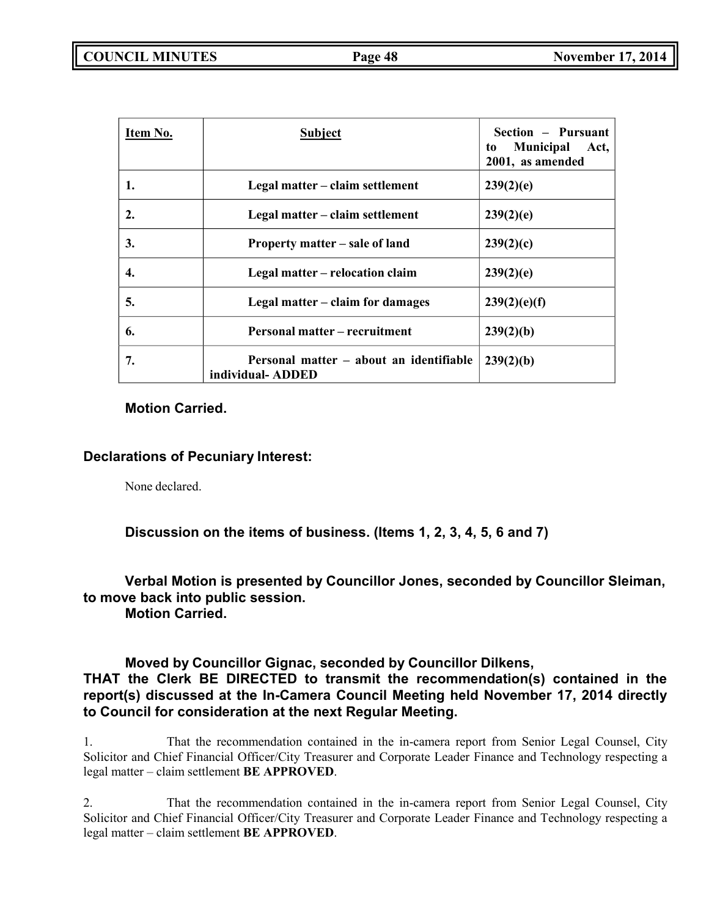| Item No. | <b>Subject</b>                                              | Section – Pursuant<br><b>Municipal</b><br>Act,<br>to<br>2001, as amended |
|----------|-------------------------------------------------------------|--------------------------------------------------------------------------|
| 1.       | Legal matter – claim settlement                             | 239(2)(e)                                                                |
| 2.       | Legal matter – claim settlement                             | 239(2)(e)                                                                |
| 3.       | Property matter – sale of land                              | 239(2)(c)                                                                |
| 4.       | Legal matter – relocation claim                             | 239(2)(e)                                                                |
| 5.       | Legal matter – claim for damages                            | 239(2)(e)(f)                                                             |
| 6.       | <b>Personal matter – recruitment</b>                        | 239(2)(b)                                                                |
| 7.       | Personal matter – about an identifiable<br>individual-ADDED | 239(2)(b)                                                                |

# **Motion Carried.**

# **Declarations of Pecuniary Interest:**

None declared.

# **Discussion on the items of business. (Items 1, 2, 3, 4, 5, 6 and 7)**

# **Verbal Motion is presented by Councillor Jones, seconded by Councillor Sleiman, to move back into public session.**

**Motion Carried.**

# **Moved by Councillor Gignac, seconded by Councillor Dilkens,**

# **THAT the Clerk BE DIRECTED to transmit the recommendation(s) contained in the report(s) discussed at the In-Camera Council Meeting held November 17, 2014 directly to Council for consideration at the next Regular Meeting.**

1. That the recommendation contained in the in-camera report from Senior Legal Counsel, City Solicitor and Chief Financial Officer/City Treasurer and Corporate Leader Finance and Technology respecting a legal matter – claim settlement **BE APPROVED**.

2. That the recommendation contained in the in-camera report from Senior Legal Counsel, City Solicitor and Chief Financial Officer/City Treasurer and Corporate Leader Finance and Technology respecting a legal matter – claim settlement **BE APPROVED**.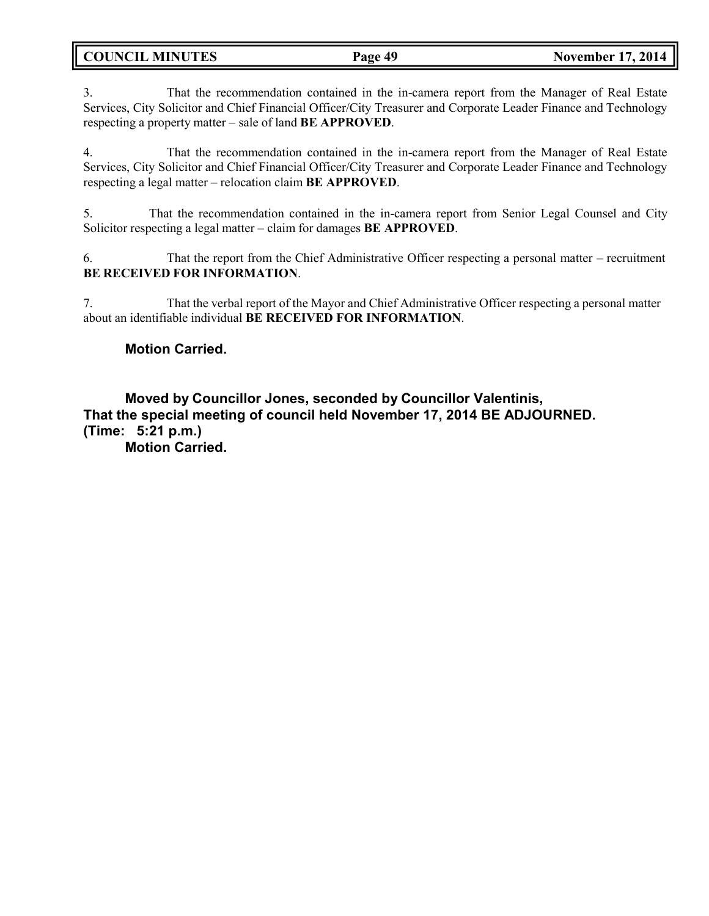| <b>COUNCIL MINUTES</b><br>Page 49 |
|-----------------------------------|
|-----------------------------------|

3. That the recommendation contained in the in-camera report from the Manager of Real Estate Services, City Solicitor and Chief Financial Officer/City Treasurer and Corporate Leader Finance and Technology respecting a property matter – sale of land **BE APPROVED**.

4. That the recommendation contained in the in-camera report from the Manager of Real Estate Services, City Solicitor and Chief Financial Officer/City Treasurer and Corporate Leader Finance and Technology respecting a legal matter – relocation claim **BE APPROVED**.

5. That the recommendation contained in the in-camera report from Senior Legal Counsel and City Solicitor respecting a legal matter – claim for damages **BE APPROVED**.

6. That the report from the Chief Administrative Officer respecting a personal matter – recruitment **BE RECEIVED FOR INFORMATION**.

7. That the verbal report of the Mayor and Chief Administrative Officer respecting a personal matter about an identifiable individual **BE RECEIVED FOR INFORMATION**.

# **Motion Carried.**

**Moved by Councillor Jones, seconded by Councillor Valentinis, That the special meeting of council held November 17, 2014 BE ADJOURNED. (Time: 5:21 p.m.)**

**Motion Carried.**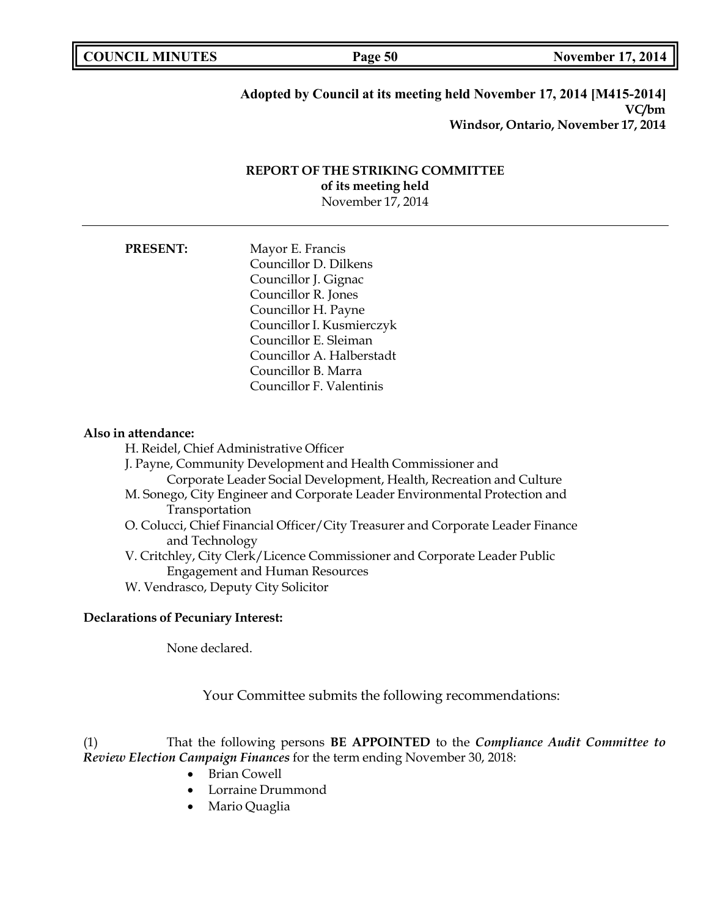| <b>COUNCIL MINUTES</b> |  |
|------------------------|--|
|------------------------|--|

**Page 50 November 17, 2014** 

## **Adopted by Council at its meeting held November 17, 2014 [M415-2014] VC/bm Windsor, Ontario, November 17, 2014**

## **REPORT OF THE STRIKING COMMITTEE of its meeting held** November 17, 2014

# **PRESENT:** Mayor E. Francis Councillor D. Dilkens Councillor J. Gignac Councillor R. Jones Councillor H. Payne CouncillorI. Kusmierczyk Councillor E. Sleiman Councillor A. Halberstadt Councillor B. Marra Councillor F. Valentinis

### **Also in attendance:**

- H. Reidel, Chief Administrative Officer
- J. Payne, Community Development and Health Commissioner and Corporate Leader Social Development, Health, Recreation and Culture
- M. Sonego, City Engineer and Corporate Leader Environmental Protection and Transportation
- O. Colucci, Chief Financial Officer/City Treasurer and Corporate Leader Finance and Technology
- V. Critchley, City Clerk/Licence Commissioner and Corporate Leader Public Engagement and Human Resources
- W. Vendrasco, Deputy City Solicitor

## **Declarations of Pecuniary Interest:**

None declared.

Your Committee submits the following recommendations:

(1) That the following persons **BE APPOINTED** to the *Compliance Audit Committee to Review Election Campaign Finances* for the term ending November 30, 2018:

- Brian Cowell
- Lorraine Drummond
- Mario Quaglia